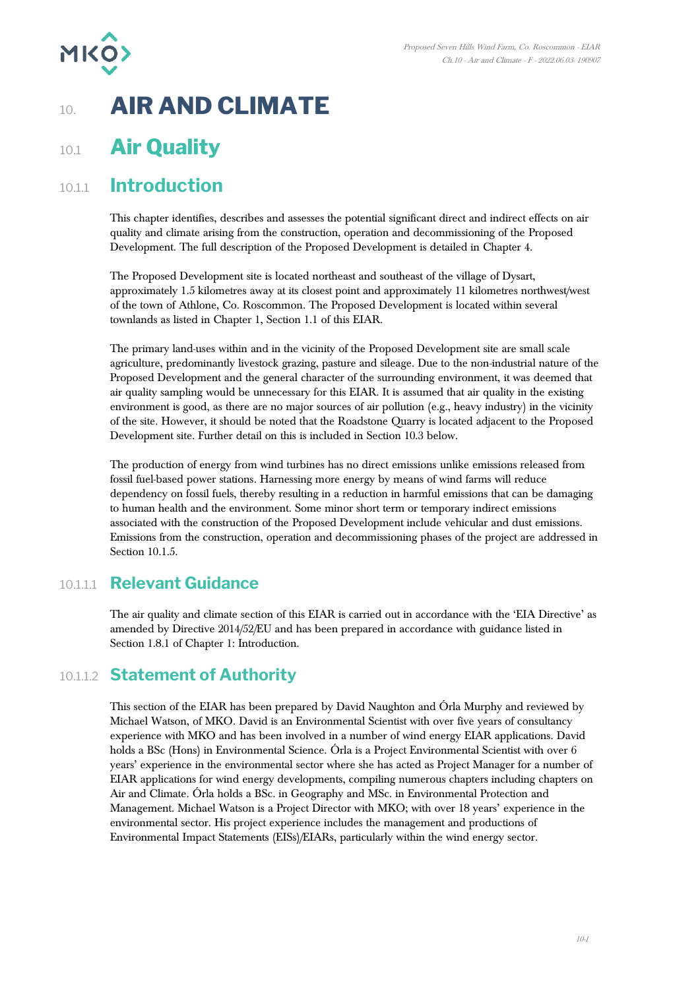

# 10. **AIR AND CLIMATE**

# 10.1 **Air Quality**

# 10.1.1 **Introduction**

This chapter identifies, describes and assesses the potential significant direct and indirect effects on air quality and climate arising from the construction, operation and decommissioning of the Proposed Development. The full description of the Proposed Development is detailed in Chapter 4.

The Proposed Development site is located northeast and southeast of the village of Dysart, approximately 1.5 kilometres away at its closest point and approximately 11 kilometres northwest/west of the town of Athlone, Co. Roscommon. The Proposed Development is located within several townlands as listed in Chapter 1, Section 1.1 of this EIAR.

The primary land-uses within and in the vicinity of the Proposed Development site are small scale agriculture, predominantly livestock grazing, pasture and sileage. Due to the non-industrial nature of the Proposed Development and the general character of the surrounding environment, it was deemed that air quality sampling would be unnecessary for this EIAR. It is assumed that air quality in the existing environment is good, as there are no major sources of air pollution (e.g., heavy industry) in the vicinity of the site. However, it should be noted that the Roadstone Quarry is located adjacent to the Proposed Development site. Further detail on this is included in Section 10.3 below.

The production of energy from wind turbines has no direct emissions unlike emissions released from fossil fuel-based power stations. Harnessing more energy by means of wind farms will reduce dependency on fossil fuels, thereby resulting in a reduction in harmful emissions that can be damaging to human health and the environment. Some minor short term or temporary indirect emissions associated with the construction of the Proposed Development include vehicular and dust emissions. Emissions from the construction, operation and decommissioning phases of the project are addressed in Section 10.1.5.

## 10.1.1.1 **Relevant Guidance**

The air quality and climate section of this EIAR is carried out in accordance with the 'EIA Directive' as amended by Directive 2014/52/EU and has been prepared in accordance with guidance listed in Section 1.8.1 of Chapter 1: Introduction.

# 10.1.1.2 **Statement of Authority**

This section of the EIAR has been prepared by David Naughton and Órla Murphy and reviewed by Michael Watson, of MKO. David is an Environmental Scientist with over five years of consultancy experience with MKO and has been involved in a number of wind energy EIAR applications. David holds a BSc (Hons) in Environmental Science. Órla is a Project Environmental Scientist with over 6 years' experience in the environmental sector where she has acted as Project Manager for a number of EIAR applications for wind energy developments, compiling numerous chapters including chapters on Air and Climate. Órla holds a BSc. in Geography and MSc. in Environmental Protection and Management. Michael Watson is a Project Director with MKO; with over 18 years' experience in the environmental sector. His project experience includes the management and productions of Environmental Impact Statements (EISs)/EIARs, particularly within the wind energy sector.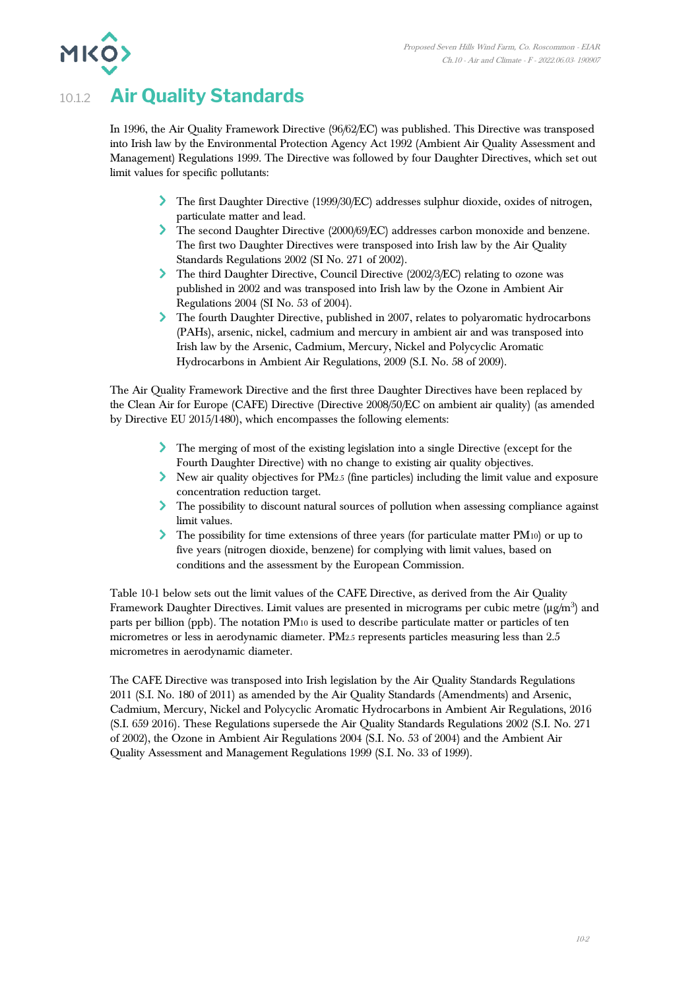# 10.1.2 **Air Quality Standards**

**MKO** 

In 1996, the Air Quality Framework Directive (96/62/EC) was published. This Directive was transposed into Irish law by the Environmental Protection Agency Act 1992 (Ambient Air Quality Assessment and Management) Regulations 1999. The Directive was followed by four Daughter Directives, which set out limit values for specific pollutants:

- The first Daughter Directive (1999/30/EC) addresses sulphur dioxide, oxides of nitrogen, particulate matter and lead.
- The second Daughter Directive (2000/69/EC) addresses carbon monoxide and benzene. The first two Daughter Directives were transposed into Irish law by the Air Quality Standards Regulations 2002 (SI No. 271 of 2002).
- The third Daughter Directive, Council Directive (2002/3/EC) relating to ozone was published in 2002 and was transposed into Irish law by the Ozone in Ambient Air Regulations 2004 (SI No. 53 of 2004).
- The fourth Daughter Directive, published in 2007, relates to polyaromatic hydrocarbons (PAHs), arsenic, nickel, cadmium and mercury in ambient air and was transposed into Irish law by the Arsenic, Cadmium, Mercury, Nickel and Polycyclic Aromatic Hydrocarbons in Ambient Air Regulations, 2009 (S.I. No. 58 of 2009).

The Air Quality Framework Directive and the first three Daughter Directives have been replaced by the Clean Air for Europe (CAFE) Directive (Directive 2008/50/EC on ambient air quality) (as amended by Directive EU 2015/1480), which encompasses the following elements:

- The merging of most of the existing legislation into a single Directive (except for the Fourth Daughter Directive) with no change to existing air quality objectives.
- New air quality objectives for PM2.5 (fine particles) including the limit value and exposure concentration reduction target.
- The possibility to discount natural sources of pollution when assessing compliance against limit values.
- The possibility for time extensions of three years (for particulate matter PM<sub>10</sub>) or up to five years (nitrogen dioxide, benzene) for complying with limit values, based on conditions and the assessment by the European Commission.

[Table 10-1](#page-2-0) below sets out the limit values of the CAFE Directive, as derived from the Air Quality Framework Daughter Directives. Limit values are presented in micrograms per cubic metre ( $\mu$ g/m<sup>3</sup>) and parts per billion (ppb). The notation PM<sup>10</sup> is used to describe particulate matter or particles of ten micrometres or less in aerodynamic diameter. PM2.5 represents particles measuring less than 2.5 micrometres in aerodynamic diameter.

The CAFE Directive was transposed into Irish legislation by the Air Quality Standards Regulations 2011 (S.I. No. 180 of 2011) as amended by the Air Quality Standards (Amendments) and Arsenic, Cadmium, Mercury, Nickel and Polycyclic Aromatic Hydrocarbons in Ambient Air Regulations, 2016 (S.I. 659 2016). These Regulations supersede the Air Quality Standards Regulations 2002 (S.I. No. 271 of 2002), the Ozone in Ambient Air Regulations 2004 (S.I. No. 53 of 2004) and the Ambient Air Quality Assessment and Management Regulations 1999 (S.I. No. 33 of 1999).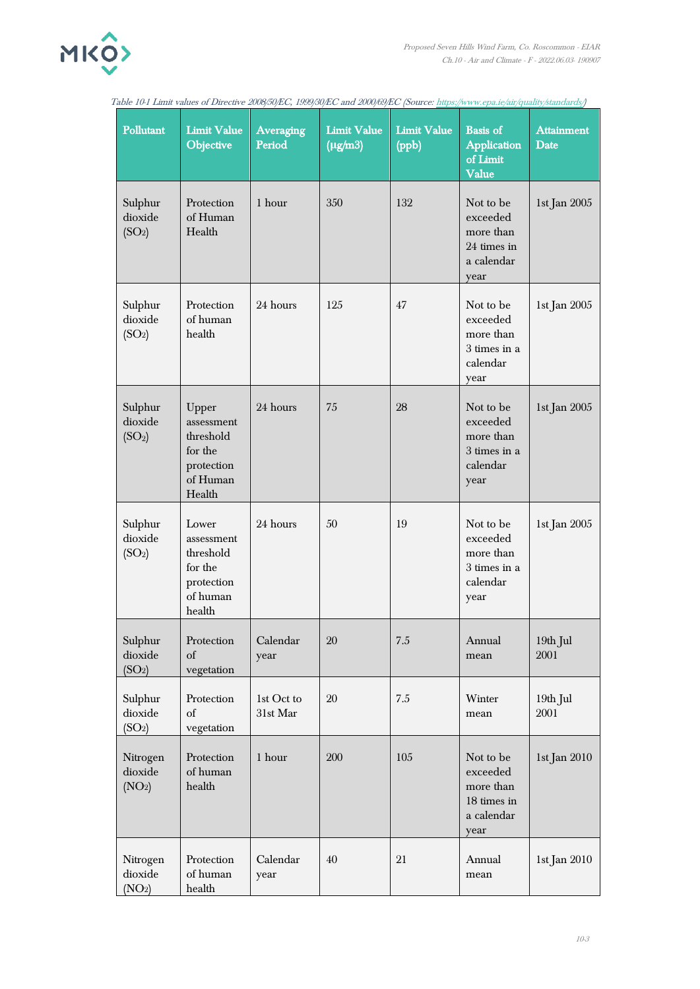

<span id="page-2-0"></span>

| Table 10-1 Limit values of Directive 2008/50/EC, 1999/30/EC and 2000/69/EC (Source: https://www.epa.ie/air/quality/standards/) |                                                                                 |                            |                                    |                             |                                                                         |                           |
|--------------------------------------------------------------------------------------------------------------------------------|---------------------------------------------------------------------------------|----------------------------|------------------------------------|-----------------------------|-------------------------------------------------------------------------|---------------------------|
| Pollutant                                                                                                                      | <b>Limit Value</b><br>Objective                                                 | <b>Averaging</b><br>Period | <b>Limit Value</b><br>$(\mu g/m3)$ | <b>Limit Value</b><br>(ppb) | <b>Basis</b> of<br><b>Application</b><br>of Limit<br>Value              | <b>Attainment</b><br>Date |
| Sulphur<br>dioxide<br>(SO <sub>2</sub> )                                                                                       | Protection<br>of Human<br>Health                                                | 1 hour                     | 350                                | 132                         | Not to be<br>exceeded<br>more than<br>24 times in<br>a calendar<br>year | 1st Jan 2005              |
| Sulphur<br>dioxide<br>(SO <sub>2</sub> )                                                                                       | Protection<br>of human<br>health                                                | 24 hours                   | 125                                | 47                          | Not to be<br>exceeded<br>more than<br>3 times in a<br>calendar<br>year  | 1st Jan 2005              |
| Sulphur<br>dioxide<br>(SO <sub>2</sub> )                                                                                       | Upper<br>assessment<br>threshold<br>for the<br>protection<br>of Human<br>Health | 24 hours                   | 75                                 | 28                          | Not to be<br>exceeded<br>more than<br>3 times in a<br>calendar<br>year  | 1st Jan 2005              |
| Sulphur<br>dioxide<br>(SO <sub>2</sub> )                                                                                       | Lower<br>assessment<br>threshold<br>for the<br>protection<br>of human<br>health | 24 hours                   | 50                                 | 19                          | Not to be<br>exceeded<br>more than<br>3 times in a<br>calendar<br>year  | 1st Jan 2005              |
| Sulphur<br>dioxide<br>(SO <sub>2</sub> )                                                                                       | Protection<br>of<br>vegetation                                                  | Calendar<br>year           | 20                                 | 7.5                         | Annual<br>mean                                                          | 19th Jul<br>2001          |
| Sulphur<br>dioxide<br>(SO <sub>2</sub> )                                                                                       | Protection<br>of<br>vegetation                                                  | 1st Oct to<br>31st Mar     | 20                                 | $7.5\,$                     | Winter<br>mean                                                          | 19th Jul<br>2001          |
| Nitrogen<br>dioxide<br>(NO <sub>2</sub> )                                                                                      | Protection<br>of human<br>health                                                | 1 hour                     | 200                                | 105                         | Not to be<br>exceeded<br>more than<br>18 times in<br>a calendar<br>year | 1st Jan 2010              |
| Nitrogen<br>dioxide<br>(NO <sub>2</sub> )                                                                                      | Protection<br>of human<br>health                                                | Calendar<br>year           | 40                                 | 21                          | Annual<br>mean                                                          | 1st Jan 2010              |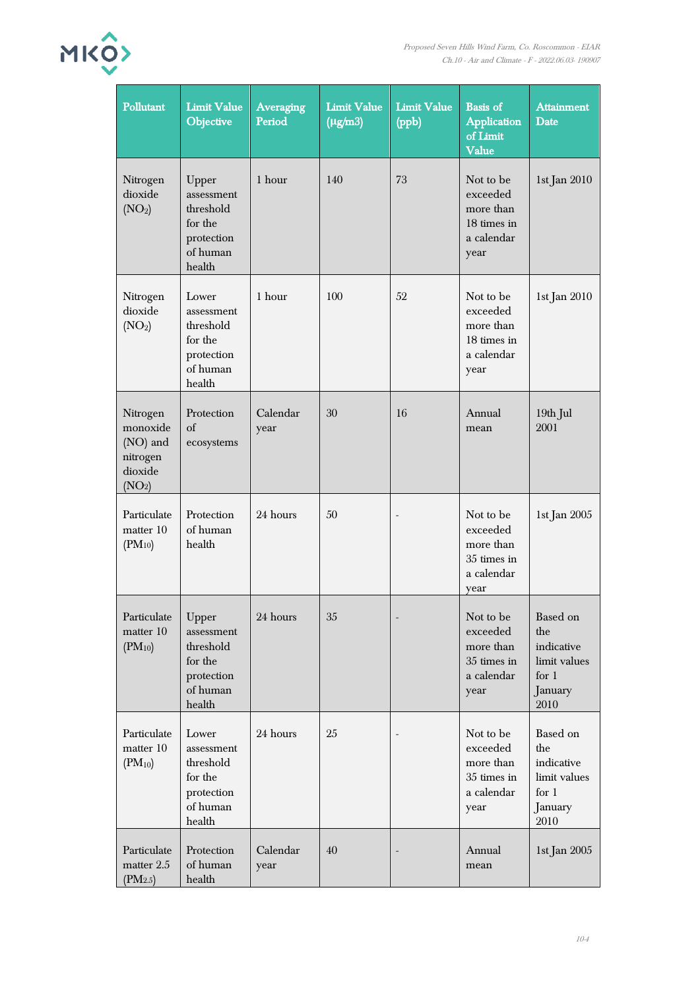| ▰              |
|----------------|
| <b>MKO&gt;</b> |
|                |

| Pollutant                                                                     | <b>Limit Value</b><br>Objective                                                 | <b>Averaging</b><br>Period | <b>Limit Value</b><br>$\overline{(\mu g/m3)}$ | <b>Limit Value</b><br>(ppb) | <b>Basis</b> of<br><b>Application</b><br>of Limit<br>Value              | <b>Attainment</b><br>Date                                                   |
|-------------------------------------------------------------------------------|---------------------------------------------------------------------------------|----------------------------|-----------------------------------------------|-----------------------------|-------------------------------------------------------------------------|-----------------------------------------------------------------------------|
| Nitrogen<br>dioxide<br>(NO <sub>2</sub> )                                     | Upper<br>assessment<br>threshold<br>for the<br>protection<br>of human<br>health | 1 hour                     | 140                                           | 73                          | Not to be<br>exceeded<br>more than<br>18 times in<br>a calendar<br>year | 1st Jan 2010                                                                |
| Nitrogen<br>dioxide<br>(NO <sub>2</sub> )                                     | Lower<br>assessment<br>threshold<br>for the<br>protection<br>of human<br>health | 1 hour                     | 100                                           | 52                          | Not to be<br>exceeded<br>more than<br>18 times in<br>a calendar<br>year | 1st Jan 2010                                                                |
| Nitrogen<br>monoxide<br>(NO) and<br>nitrogen<br>dioxide<br>(NO <sub>2</sub> ) | Protection<br>of<br>ecosystems                                                  | Calendar<br>year           | 30                                            | 16                          | Annual<br>mean                                                          | 19th Jul<br>2001                                                            |
| Particulate<br>matter 10<br>$(PM_{10})$                                       | Protection<br>of human<br>health                                                | 24 hours                   | 50                                            | $\overline{\phantom{a}}$    | Not to be<br>exceeded<br>more than<br>35 times in<br>a calendar<br>year | 1st Jan 2005                                                                |
| Particulate<br>matter 10<br>$(PM_{10})$                                       | Upper<br>assessment<br>threshold<br>for the<br>protection<br>of human<br>health | 24 hours                   | $35\,$                                        |                             | Not to be<br>exceeded<br>more than<br>35 times in<br>a calendar<br>year | Based on<br>the<br>indicative<br>limit values<br>for $1$<br>January<br>2010 |
| Particulate<br>matter 10<br>$(PM_{10})$                                       | Lower<br>assessment<br>threshold<br>for the<br>protection<br>of human<br>health | 24 hours                   | 25                                            |                             | Not to be<br>exceeded<br>more than<br>35 times in<br>a calendar<br>year | Based on<br>the<br>indicative<br>limit values<br>for $1$<br>January<br>2010 |
| Particulate<br>matter 2.5<br>(PM2.5)                                          | Protection<br>of human<br>health                                                | Calendar<br>year           | 40                                            |                             | Annual<br>mean                                                          | 1st Jan 2005                                                                |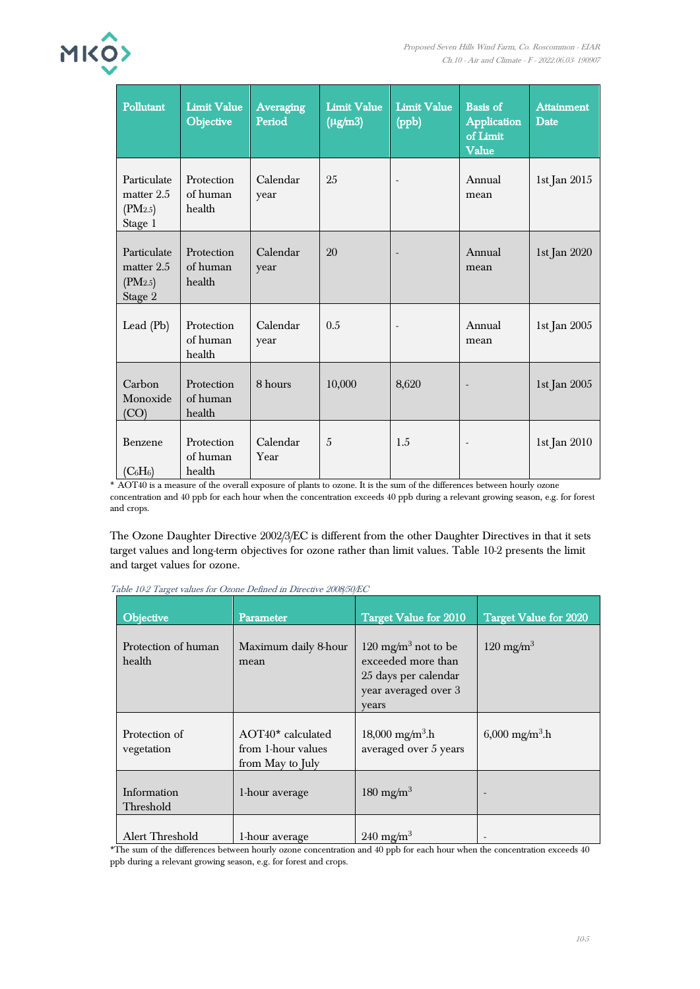

| Pollutant                                         | <b>Limit Value</b><br>Objective  | <b>Averaging</b><br>Period | <b>Limit Value</b><br>$(\mu g/m3)$ | <b>Limit Value</b><br>(ppb) | <b>Basis</b> of<br><b>Application</b><br>of Limit<br>Value | <b>Attainment</b><br>Date |
|---------------------------------------------------|----------------------------------|----------------------------|------------------------------------|-----------------------------|------------------------------------------------------------|---------------------------|
| Particulate<br>matter $2.5$<br>(PM2.5)<br>Stage 1 | Protection<br>of human<br>health | Calendar<br>year           | 25                                 | $\overline{\phantom{a}}$    | Annual<br>mean                                             | 1st Jan 2015              |
| Particulate<br>matter 2.5<br>(PM2.5)<br>Stage 2   | Protection<br>of human<br>health | Calendar<br>year           | 20                                 |                             | Annual<br>mean                                             | 1st Jan 2020              |
| Lead $(Pb)$                                       | Protection<br>of human<br>health | Calendar<br>year           | 0.5                                |                             | Annual<br>mean                                             | 1st Jan 2005              |
| Carbon<br>Monoxide<br>(CO)                        | Protection<br>of human<br>health | 8 hours                    | 10,000                             | 8,620                       |                                                            | 1st Jan 2005              |
| Benzene<br>$(C_6H_6)$                             | Protection<br>of human<br>health | Calendar<br>Year           | $\overline{5}$                     | 1.5                         | $\overline{\phantom{a}}$                                   | 1st Jan 2010              |

\* AOT40 is a measure of the overall exposure of plants to ozone. It is the sum of the differences between hourly ozone concentration and 40 ppb for each hour when the concentration exceeds 40 ppb during a relevant growing season, e.g. for forest and crops.

The Ozone Daughter Directive 2002/3/EC is different from the other Daughter Directives in that it sets target values and long-term objectives for ozone rather than limit values. Table 10-2 presents the limit and target values for ozone.

| Objective                     | Parameter                                                   | <b>Target Value for 2010</b>                                                                                   | <b>Target Value for 2020</b>    |
|-------------------------------|-------------------------------------------------------------|----------------------------------------------------------------------------------------------------------------|---------------------------------|
| Protection of human<br>health | Maximum daily 8-hour<br>mean                                | 120 mg/m <sup>3</sup> not to be<br>exceeded more than<br>25 days per calendar<br>year averaged over 3<br>years | $120 \text{ mg/m}^3$            |
| Protection of<br>vegetation   | AOT40* calculated<br>from 1-hour values<br>from May to July | $18,000 \text{ mg/m}^3\text{h}$<br>averaged over 5 years                                                       | $6,000 \text{ mg/m}^3\text{.h}$ |
| Information<br>Threshold      | 1-hour average                                              | 180 mg/m <sup>3</sup>                                                                                          |                                 |
| Alert Threshold               | 1-hour average                                              | $240 \text{ mg/m}^3$                                                                                           |                                 |

Table 10-2 Target values for Ozone Defined in Directive 2008/50/EC

\*The sum of the differences between hourly ozone concentration and 40 ppb for each hour when the concentration exceeds 40 ppb during a relevant growing season, e.g. for forest and crops.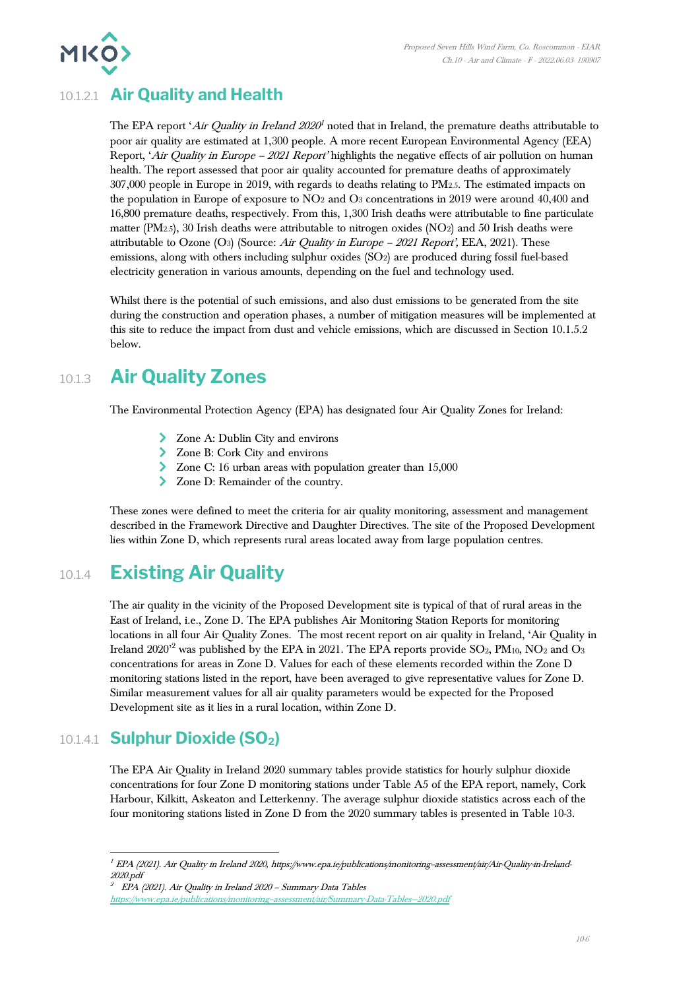

# 10.1.2.1 **Air Quality and Health**

The EPA report '*Air Quality in Ireland 2020*<sup>1</sup> noted that in Ireland, the premature deaths attributable to poor air quality are estimated at 1,300 people. A more recent European Environmental Agency (EEA) Report, 'Air Quality in Europe – <sup>2021</sup> Report' highlights the negative effects of air pollution on human health. The report assessed that poor air quality accounted for premature deaths of approximately 307,000 people in Europe in 2019, with regards to deaths relating to PM2.5. The estimated impacts on the population in Europe of exposure to NO<sup>2</sup> and O<sup>3</sup> concentrations in 2019 were around 40,400 and 16,800 premature deaths, respectively. From this, 1,300 Irish deaths were attributable to fine particulate matter (PM2.5), 30 Irish deaths were attributable to nitrogen oxides (NO2) and 50 Irish deaths were attributable to Ozone (O3) (Source: Air Quality in Europe – 2021 Report', EEA, 2021). These emissions, along with others including sulphur oxides (SO2) are produced during fossil fuel-based electricity generation in various amounts, depending on the fuel and technology used.

Whilst there is the potential of such emissions, and also dust emissions to be generated from the site during the construction and operation phases, a number of mitigation measures will be implemented at this site to reduce the impact from dust and vehicle emissions, which are discussed in Section 10.1.5.2 below.

# 10.1.3 **Air Quality Zones**

The Environmental Protection Agency (EPA) has designated four Air Quality Zones for Ireland:

- Zone A: Dublin City and environs
- Zone B: Cork City and environs
- Zone C: 16 urban areas with population greater than 15,000
- > Zone D: Remainder of the country.

These zones were defined to meet the criteria for air quality monitoring, assessment and management described in the Framework Directive and Daughter Directives. The site of the Proposed Development lies within Zone D, which represents rural areas located away from large population centres.

# 10.1.4 **Existing Air Quality**

The air quality in the vicinity of the Proposed Development site is typical of that of rural areas in the East of Ireland, i.e., Zone D. The EPA publishes Air Monitoring Station Reports for monitoring locations in all four Air Quality Zones. The most recent report on air quality in Ireland, 'Air Quality in Ireland  $2020^{\prime2}$  was published by the EPA in  $2021$ . The EPA reports provide  $\text{SO}_2$ ,  $\text{PM}_{10}$ ,  $\text{NO}_2$  and  $\text{O}_3$ concentrations for areas in Zone D. Values for each of these elements recorded within the Zone D monitoring stations listed in the report, have been averaged to give representative values for Zone D. Similar measurement values for all air quality parameters would be expected for the Proposed Development site as it lies in a rural location, within Zone D.

## 10.1.4.1 **Sulphur Dioxide (SO2)**

The EPA Air Quality in Ireland 2020 summary tables provide statistics for hourly sulphur dioxide concentrations for four Zone D monitoring stations under Table A5 of the EPA report, namely, Cork Harbour, Kilkitt, Askeaton and Letterkenny. The average sulphur dioxide statistics across each of the four monitoring stations listed in Zone D from the 2020 summary tables is presented in [Table 10-3.](#page-6-0)

2020.pdf 2 EPA (2021). Air Quality in Ireland 2020 – Summary Data Tables

<sup>1</sup> EPA (2021). Air Quality in Ireland 2020, https://www.epa.ie/publications/monitoring--assessment/air/Air-Quality-in-Ireland-

https://www.epa.ie/publications/monitoring-assessment/air/Summary-Data-Tables-2020.pdf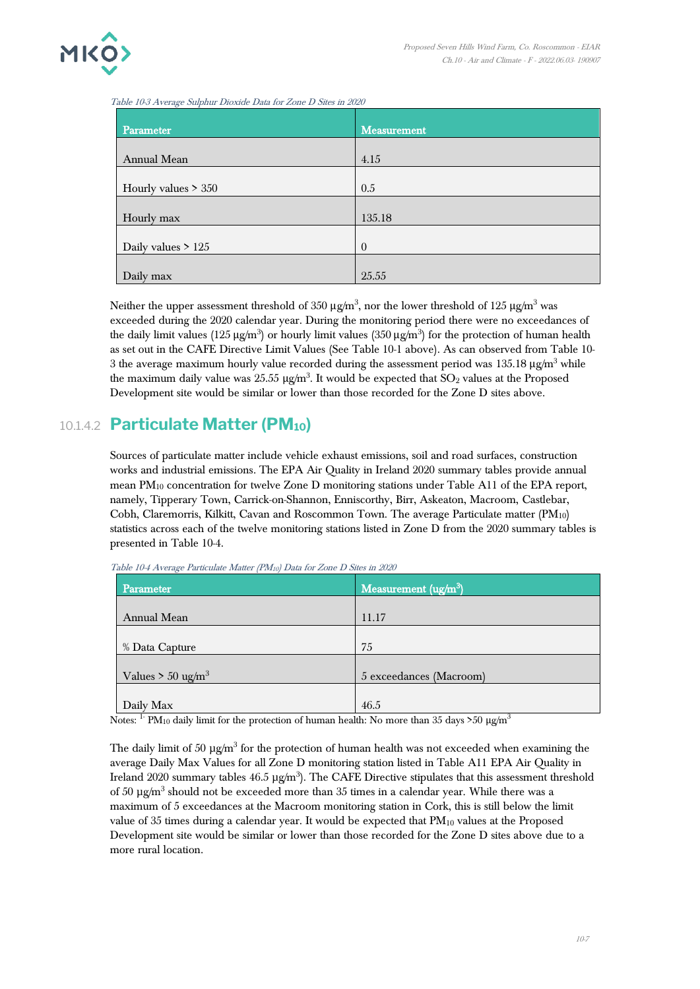

<span id="page-6-0"></span>Table 10-3 Average Sulphur Dioxide Data for Zone D Sites in 2020

| Parameter             | Measurement    |
|-----------------------|----------------|
|                       |                |
| Annual Mean           | 4.15           |
| Hourly values $> 350$ | 0.5            |
|                       |                |
| Hourly max            | 135.18         |
|                       |                |
| Daily values $> 125$  | $\overline{0}$ |
|                       |                |
| Daily max             | 25.55          |

Neither the upper assessment threshold of 350  $\mu$ g/m<sup>3</sup>, nor the lower threshold of 125  $\mu$ g/m<sup>3</sup> was exceeded during the 2020 calendar year. During the monitoring period there were no exceedances of the daily limit values (125 µg/m $^3$ ) or hourly limit values (350 µg/m $^3$ ) for the protection of human health as set out in the CAFE Directive Limit Values (See Table 10-1 above). As can observed from Table 10- 3 the average maximum hourly value recorded during the assessment period was  $135.18 \mu g/m^3$  while the maximum daily value was  $25.55 \text{ }\mu\text{g/m}^3$ . It would be expected that  $\text{SO}_2$  values at the Proposed Development site would be similar or lower than those recorded for the Zone D sites above.

## 10.1.4.2 **Particulate Matter (PM10)**

Sources of particulate matter include vehicle exhaust emissions, soil and road surfaces, construction works and industrial emissions. The EPA Air Quality in Ireland 2020 summary tables provide annual mean PM<sup>10</sup> concentration for twelve Zone D monitoring stations under Table A11 of the EPA report, namely, Tipperary Town, Carrick-on-Shannon, Enniscorthy, Birr, Askeaton, Macroom, Castlebar, Cobh, Claremorris, Kilkitt, Cavan and Roscommon Town. The average Particulate matter (PM10) statistics across each of the twelve monitoring stations listed in Zone D from the 2020 summary tables is presented in [Table 10-4.](#page-6-1)

| Measurement (ug/m <sup>3</sup> ) |
|----------------------------------|
| 11.17                            |
|                                  |
| 75                               |
| 5 exceedances (Macroom)          |
| 46.5                             |
|                                  |

<span id="page-6-1"></span>Table 10-4 Average Particulate Matter (PM10) Data for Zone D Sites in 2020

Notes: <sup>1-</sup> PM<sub>10</sub> daily limit for the protection of human health: No more than 35 days >50 µg/m<sup>3</sup>

The daily limit of 50  $\mu$ g/m<sup>3</sup> for the protection of human health was not exceeded when examining the average Daily Max Values for all Zone D monitoring station listed in Table A11 EPA Air Quality in Ireland 2020 summary tables  $46.5 \,\mu\text{g/m}^3$ ). The CAFE Directive stipulates that this assessment threshold of 50  $\mu$ g/m<sup>3</sup> should not be exceeded more than 35 times in a calendar year. While there was a maximum of 5 exceedances at the Macroom monitoring station in Cork, this is still below the limit value of 35 times during a calendar year. It would be expected that  $PM_{10}$  values at the Proposed Development site would be similar or lower than those recorded for the Zone D sites above due to a more rural location.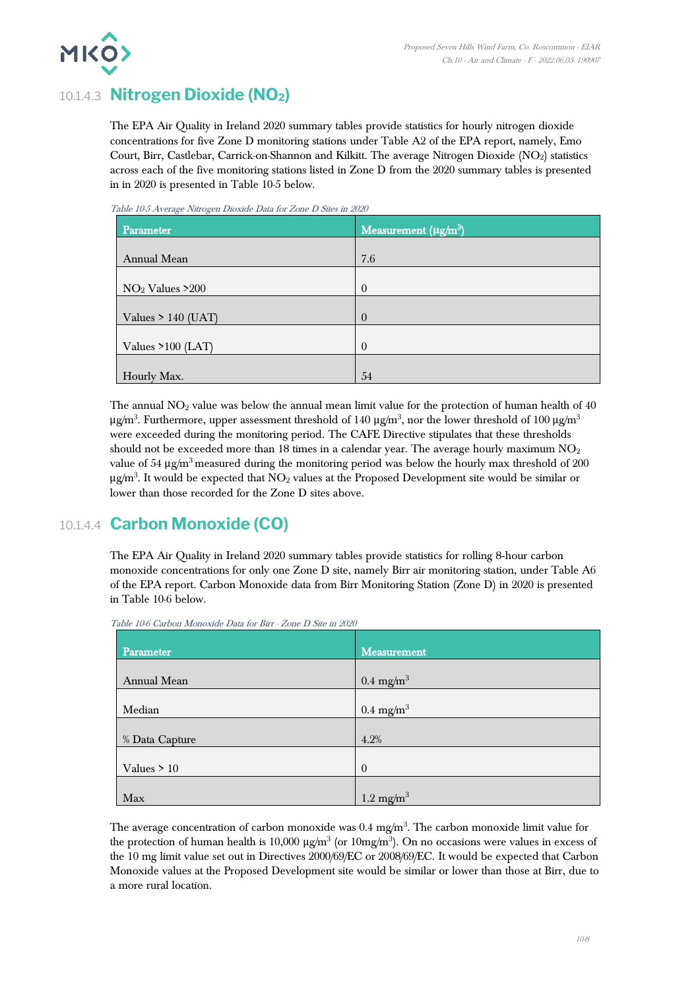

# 10.1.4.3 **Nitrogen Dioxide (NO2)**

The EPA Air Quality in Ireland 2020 summary tables provide statistics for hourly nitrogen dioxide concentrations for five Zone D monitoring stations under Table A2 of the EPA report, namely, Emo Court, Birr, Castlebar, Carrick-on-Shannon and Kilkitt. The average Nitrogen Dioxide (NO<sub>2</sub>) statistics across each of the five monitoring stations listed in Zone D from the 2020 summary tables is presented in in 2020 is presented in [Table 10-5](#page-7-0) below.

| Parameter            | Measurement ( $\mu$ g/m <sup>3</sup> ) |
|----------------------|----------------------------------------|
| Annual Mean          | 7.6                                    |
| $NO2$ Values >200    | $\theta$                               |
| Values $> 140$ (UAT) | $\overline{0}$                         |
| Values $>100$ (LAT)  | $\theta$                               |
| Hourly Max.          | 54                                     |

<span id="page-7-0"></span>Table 10-5 Average Nitrogen Dioxide Data for Zone D Sites in 2020

The annual  $NO<sub>2</sub>$  value was below the annual mean limit value for the protection of human health of 40  $\mu$ g/m $^3$ . Furthermore, upper assessment threshold of 140  $\mu$ g/m $^3$ , nor the lower threshold of 100  $\mu$ g/m $^3$ were exceeded during the monitoring period. The CAFE Directive stipulates that these thresholds should not be exceeded more than 18 times in a calendar year. The average hourly maximum  $NO<sub>2</sub>$ value of 54  $\mu$ g/m<sup>3</sup> measured during the monitoring period was below the hourly max threshold of 200  $\mu$ g/m<sup>3</sup>. It would be expected that NO<sub>2</sub> values at the Proposed Development site would be similar or lower than those recorded for the Zone D sites above.

# 10.1.4.4 **Carbon Monoxide (CO)**

The EPA Air Quality in Ireland 2020 summary tables provide statistics for rolling 8‐hour carbon monoxide concentrations for only one Zone D site, namely Birr air monitoring station, under Table A6 of the EPA report. Carbon Monoxide data from Birr Monitoring Station (Zone D) in 2020 is presented in [Table 10-6](#page-7-1) below.

| Parameter      | Measurement          |
|----------------|----------------------|
|                |                      |
| Annual Mean    | $0.4 \text{ mg/m}^3$ |
|                |                      |
| Median         | $0.4 \text{ mg/m}^3$ |
|                |                      |
| % Data Capture | 4.2%                 |
|                |                      |
| Values $> 10$  | $\theta$             |
|                |                      |
| Max            | $1.2 \text{ mg/m}^3$ |

<span id="page-7-1"></span>Table 10-6 Carbon Monoxide Data for Birr - Zone D Site in 2020

The average concentration of carbon monoxide was  $0.4 \text{ mg/m}^3$ . The carbon monoxide limit value for the protection of human health is 10,000  $\mu$ g/m<sup>3</sup> (or 10mg/m<sup>3</sup>). On no occasions were values in excess of the 10 mg limit value set out in Directives 2000/69/EC or 2008/69/EC. It would be expected that Carbon Monoxide values at the Proposed Development site would be similar or lower than those at Birr, due to a more rural location.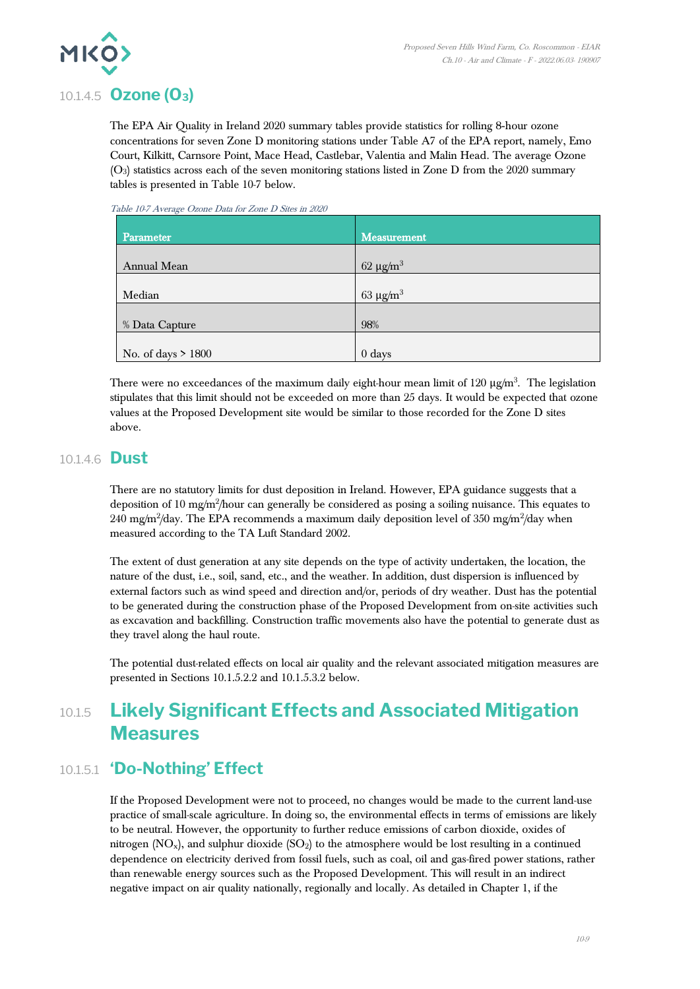

# 10.1.4.5 **Ozone (O3)**

The EPA Air Quality in Ireland 2020 summary tables provide statistics for rolling 8‐hour ozone concentrations for seven Zone D monitoring stations under Table A7 of the EPA report, namely, Emo Court, Kilkitt, Carnsore Point, Mace Head, Castlebar, Valentia and Malin Head. The average Ozone (O3) statistics across each of the seven monitoring stations listed in Zone D from the 2020 summary tables is presented in [Table 10-7](#page-8-0) below.

<span id="page-8-0"></span>Table 10-7 Average Ozone Data for Zone D Sites in 2020

| Parameter            | Measurement    |
|----------------------|----------------|
| Annual Mean          | $62 \mu g/m^3$ |
| Median               | $63 \mu g/m^3$ |
| % Data Capture       | 98%            |
| No. of days $> 1800$ | $0$ days       |

There were no exceedances of the maximum daily eight-hour mean limit of 120  $\mu$ g/m $^3$ . The legislation stipulates that this limit should not be exceeded on more than 25 days. It would be expected that ozone values at the Proposed Development site would be similar to those recorded for the Zone D sites above.

## 10.1.4.6 **Dust**

There are no statutory limits for dust deposition in Ireland. However, EPA guidance suggests that a deposition of 10 mg/m<sup>2</sup>/hour can generally be considered as posing a soiling nuisance. This equates to 240 mg/m $^2$ /day. The EPA recommends a maximum daily deposition level of 350 mg/m $^2$ /day when measured according to the TA Luft Standard 2002.

The extent of dust generation at any site depends on the type of activity undertaken, the location, the nature of the dust, i.e., soil, sand, etc., and the weather. In addition, dust dispersion is influenced by external factors such as wind speed and direction and/or, periods of dry weather. Dust has the potential to be generated during the construction phase of the Proposed Development from on-site activities such as excavation and backfilling. Construction traffic movements also have the potential to generate dust as they travel along the haul route.

The potential dust-related effects on local air quality and the relevant associated mitigation measures are presented in Sections 10.1.5.2.2 and 10.1.5.3.2 below.

# 10.1.5 **Likely Significant Effects and Associated Mitigation Measures**

# 10.1.5.1 **'Do-Nothing' Effect**

If the Proposed Development were not to proceed, no changes would be made to the current land-use practice of small-scale agriculture. In doing so, the environmental effects in terms of emissions are likely to be neutral. However, the opportunity to further reduce emissions of carbon dioxide, oxides of nitrogen  $(NO_x)$ , and sulphur dioxide  $(SO_2)$  to the atmosphere would be lost resulting in a continued dependence on electricity derived from fossil fuels, such as coal, oil and gas-fired power stations, rather than renewable energy sources such as the Proposed Development. This will result in an indirect negative impact on air quality nationally, regionally and locally. As detailed in Chapter 1, if the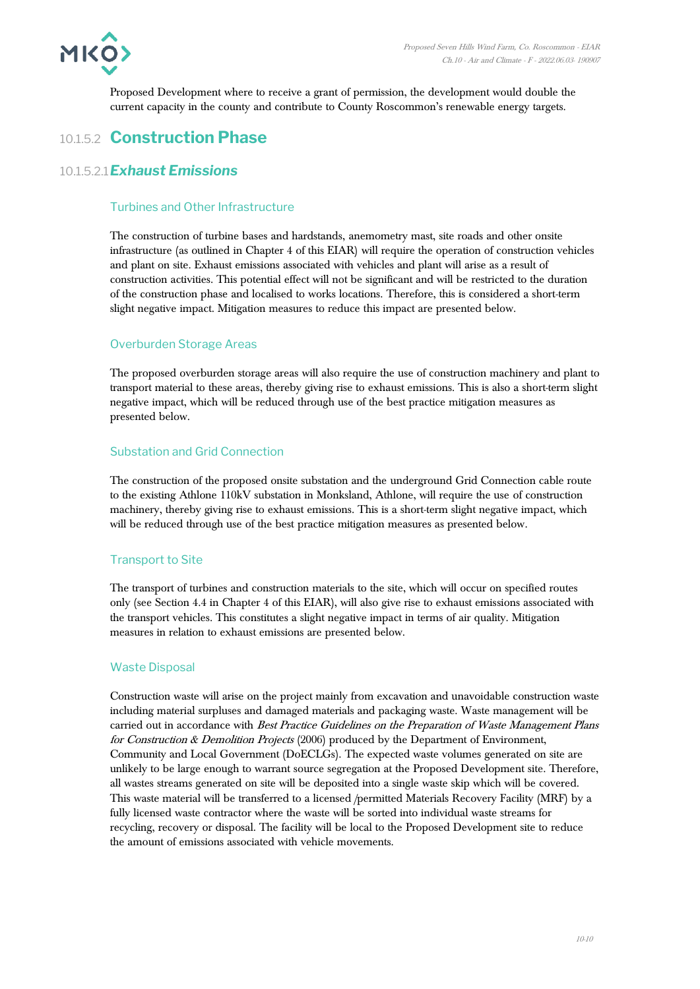

Proposed Development where to receive a grant of permission, the development would double the current capacity in the county and contribute to County Roscommon's renewable energy targets.

# 10.1.5.2 **Construction Phase**

#### 10.1.5.2.1*Exhaust Emissions*

#### Turbines and Other Infrastructure

The construction of turbine bases and hardstands, anemometry mast, site roads and other onsite infrastructure (as outlined in Chapter 4 of this EIAR) will require the operation of construction vehicles and plant on site. Exhaust emissions associated with vehicles and plant will arise as a result of construction activities. This potential effect will not be significant and will be restricted to the duration of the construction phase and localised to works locations. Therefore, this is considered a short-term slight negative impact. Mitigation measures to reduce this impact are presented below.

#### Overburden Storage Areas

The proposed overburden storage areas will also require the use of construction machinery and plant to transport material to these areas, thereby giving rise to exhaust emissions. This is also a short-term slight negative impact, which will be reduced through use of the best practice mitigation measures as presented below.

#### Substation and Grid Connection

The construction of the proposed onsite substation and the underground Grid Connection cable route to the existing Athlone 110kV substation in Monksland, Athlone, will require the use of construction machinery, thereby giving rise to exhaust emissions. This is a short-term slight negative impact, which will be reduced through use of the best practice mitigation measures as presented below.

#### Transport to Site

The transport of turbines and construction materials to the site, which will occur on specified routes only (see Section 4.4 in Chapter 4 of this EIAR), will also give rise to exhaust emissions associated with the transport vehicles. This constitutes a slight negative impact in terms of air quality. Mitigation measures in relation to exhaust emissions are presented below.

#### Waste Disposal

Construction waste will arise on the project mainly from excavation and unavoidable construction waste including material surpluses and damaged materials and packaging waste. Waste management will be carried out in accordance with Best Practice Guidelines on the Preparation of Waste Management Plans for Construction & Demolition Projects  $(2006)$  produced by the Department of Environment, Community and Local Government (DoECLGs). The expected waste volumes generated on site are unlikely to be large enough to warrant source segregation at the Proposed Development site. Therefore, all wastes streams generated on site will be deposited into a single waste skip which will be covered. This waste material will be transferred to a licensed /permitted Materials Recovery Facility (MRF) by a fully licensed waste contractor where the waste will be sorted into individual waste streams for recycling, recovery or disposal. The facility will be local to the Proposed Development site to reduce the amount of emissions associated with vehicle movements.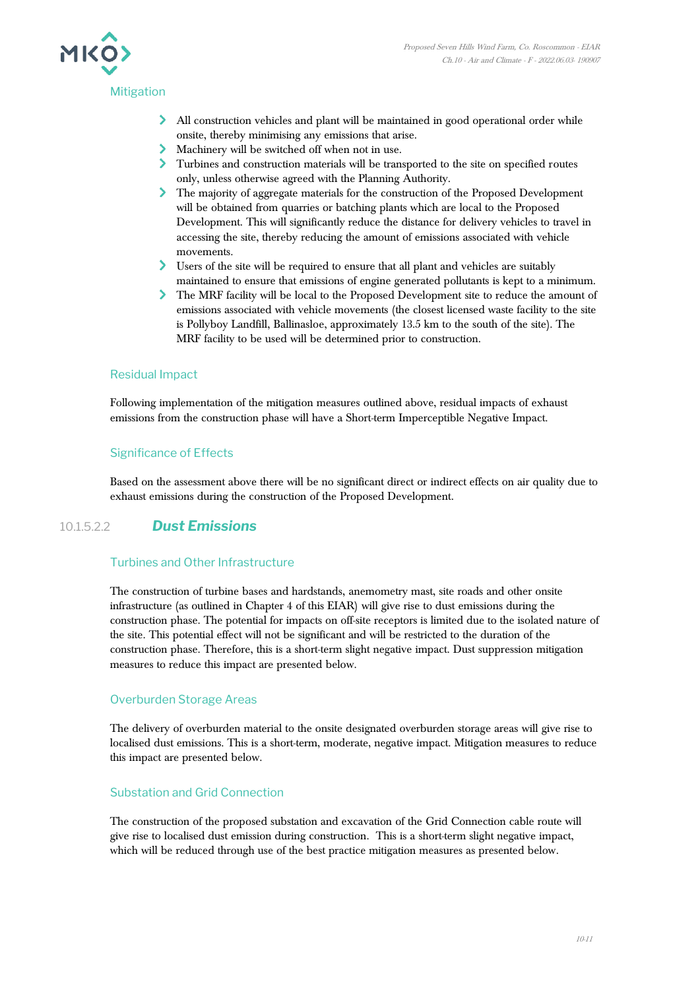

- All construction vehicles and plant will be maintained in good operational order while onsite, thereby minimising any emissions that arise.
- Machinery will be switched off when not in use.
- Turbines and construction materials will be transported to the site on specified routes only, unless otherwise agreed with the Planning Authority.
- The majority of aggregate materials for the construction of the Proposed Development will be obtained from quarries or batching plants which are local to the Proposed Development. This will significantly reduce the distance for delivery vehicles to travel in accessing the site, thereby reducing the amount of emissions associated with vehicle movements.
- Users of the site will be required to ensure that all plant and vehicles are suitably maintained to ensure that emissions of engine generated pollutants is kept to a minimum.
- The MRF facility will be local to the Proposed Development site to reduce the amount of emissions associated with vehicle movements (the closest licensed waste facility to the site is Pollyboy Landfill, Ballinasloe, approximately 13.5 km to the south of the site). The MRF facility to be used will be determined prior to construction.

#### Residual Impact

Following implementation of the mitigation measures outlined above, residual impacts of exhaust emissions from the construction phase will have a Short-term Imperceptible Negative Impact.

#### Significance of Effects

Based on the assessment above there will be no significant direct or indirect effects on air quality due to exhaust emissions during the construction of the Proposed Development.

#### 10.1.5.2.2 *Dust Emissions*

#### Turbines and Other Infrastructure

The construction of turbine bases and hardstands, anemometry mast, site roads and other onsite infrastructure (as outlined in Chapter 4 of this EIAR) will give rise to dust emissions during the construction phase. The potential for impacts on off-site receptors is limited due to the isolated nature of the site. This potential effect will not be significant and will be restricted to the duration of the construction phase. Therefore, this is a short-term slight negative impact. Dust suppression mitigation measures to reduce this impact are presented below.

#### Overburden Storage Areas

The delivery of overburden material to the onsite designated overburden storage areas will give rise to localised dust emissions. This is a short-term, moderate, negative impact. Mitigation measures to reduce this impact are presented below.

#### Substation and Grid Connection

The construction of the proposed substation and excavation of the Grid Connection cable route will give rise to localised dust emission during construction. This is a short-term slight negative impact, which will be reduced through use of the best practice mitigation measures as presented below.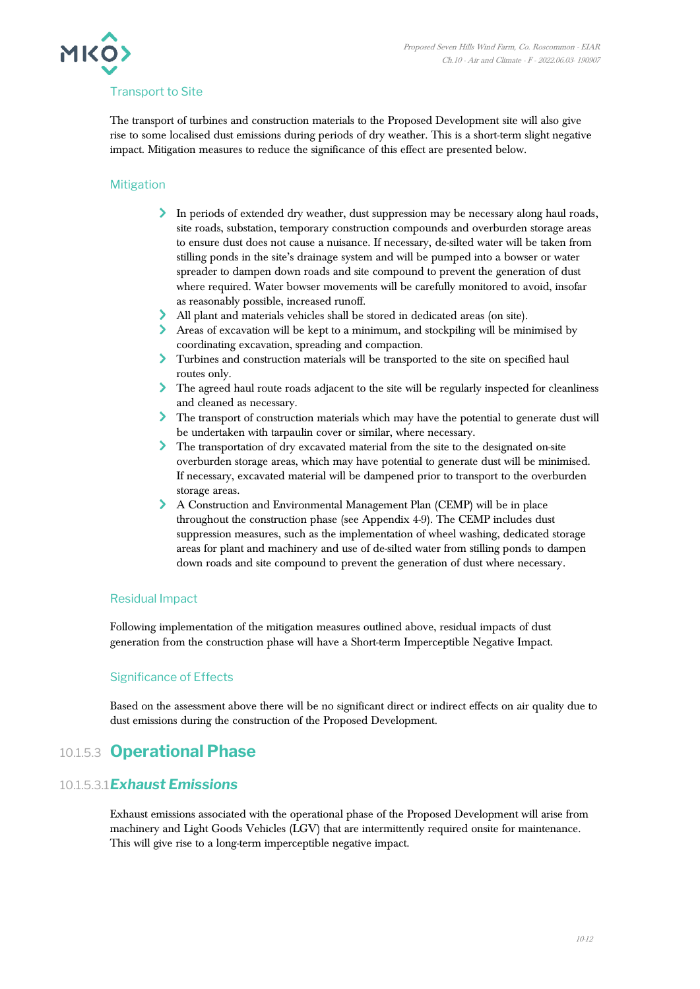

#### Transport to Site

The transport of turbines and construction materials to the Proposed Development site will also give rise to some localised dust emissions during periods of dry weather. This is a short-term slight negative impact. Mitigation measures to reduce the significance of this effect are presented below.

#### Mitigation

- In periods of extended dry weather, dust suppression may be necessary along haul roads, site roads, substation, temporary construction compounds and overburden storage areas to ensure dust does not cause a nuisance. If necessary, de-silted water will be taken from stilling ponds in the site's drainage system and will be pumped into a bowser or water spreader to dampen down roads and site compound to prevent the generation of dust where required. Water bowser movements will be carefully monitored to avoid, insofar as reasonably possible, increased runoff.
- All plant and materials vehicles shall be stored in dedicated areas (on site).
- Areas of excavation will be kept to a minimum, and stockpiling will be minimised by coordinating excavation, spreading and compaction.
- Turbines and construction materials will be transported to the site on specified haul routes only.
- The agreed haul route roads adjacent to the site will be regularly inspected for cleanliness and cleaned as necessary.
- The transport of construction materials which may have the potential to generate dust will be undertaken with tarpaulin cover or similar, where necessary.
- The transportation of dry excavated material from the site to the designated on-site overburden storage areas, which may have potential to generate dust will be minimised. If necessary, excavated material will be dampened prior to transport to the overburden storage areas.
- A Construction and Environmental Management Plan (CEMP) will be in place throughout the construction phase (see Appendix 4-9). The CEMP includes dust suppression measures, such as the implementation of wheel washing, dedicated storage areas for plant and machinery and use of de-silted water from stilling ponds to dampen down roads and site compound to prevent the generation of dust where necessary.

#### Residual Impact

Following implementation of the mitigation measures outlined above, residual impacts of dust generation from the construction phase will have a Short-term Imperceptible Negative Impact.

#### Significance of Effects

Based on the assessment above there will be no significant direct or indirect effects on air quality due to dust emissions during the construction of the Proposed Development.

## 10.1.5.3 **Operational Phase**

#### 10.1.5.3.1*Exhaust Emissions*

Exhaust emissions associated with the operational phase of the Proposed Development will arise from machinery and Light Goods Vehicles (LGV) that are intermittently required onsite for maintenance. This will give rise to a long-term imperceptible negative impact.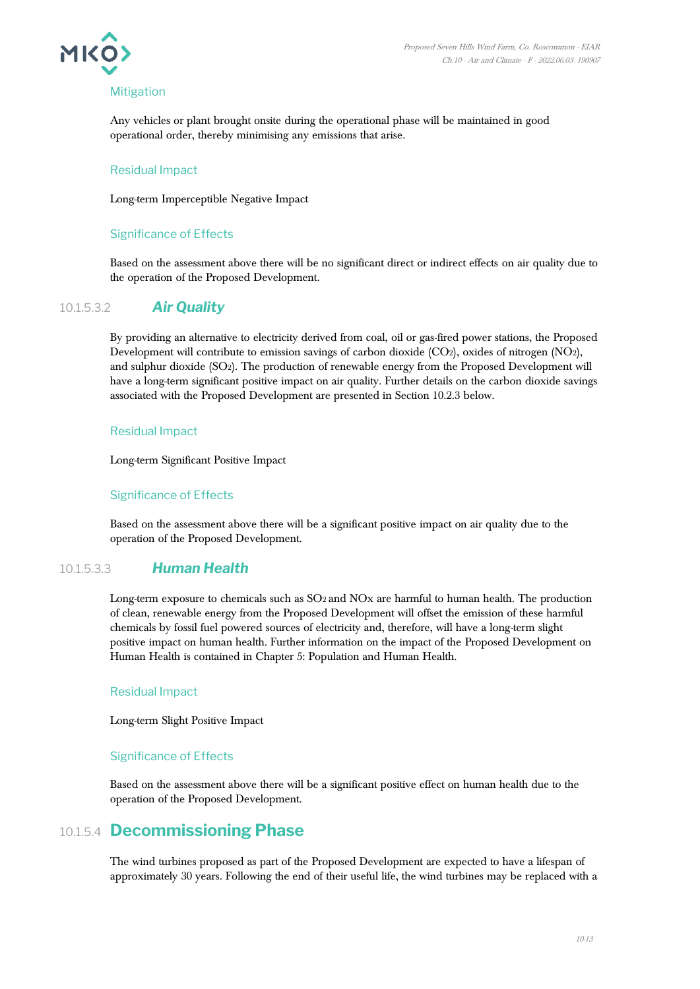

#### **Mitigation**

Any vehicles or plant brought onsite during the operational phase will be maintained in good operational order, thereby minimising any emissions that arise.

#### Residual Impact

Long-term Imperceptible Negative Impact

#### Significance of Effects

Based on the assessment above there will be no significant direct or indirect effects on air quality due to the operation of the Proposed Development.

#### 10.1.5.3.2 *Air Quality*

By providing an alternative to electricity derived from coal, oil or gas-fired power stations, the Proposed Development will contribute to emission savings of carbon dioxide (CO2), oxides of nitrogen (NO2), and sulphur dioxide (SO2). The production of renewable energy from the Proposed Development will have a long-term significant positive impact on air quality. Further details on the carbon dioxide savings associated with the Proposed Development are presented in Section 10.2.3 below.

#### Residual Impact

Long-term Significant Positive Impact

#### Significance of Effects

Based on the assessment above there will be a significant positive impact on air quality due to the operation of the Proposed Development.

#### 10.1.5.3.3 *Human Health*

Long-term exposure to chemicals such as SO<sup>2</sup> and NOx are harmful to human health. The production of clean, renewable energy from the Proposed Development will offset the emission of these harmful chemicals by fossil fuel powered sources of electricity and, therefore, will have a long-term slight positive impact on human health. Further information on the impact of the Proposed Development on Human Health is contained in Chapter 5: Population and Human Health.

#### Residual Impact

Long-term Slight Positive Impact

#### Significance of Effects

Based on the assessment above there will be a significant positive effect on human health due to the operation of the Proposed Development.

## 10.1.5.4 **Decommissioning Phase**

The wind turbines proposed as part of the Proposed Development are expected to have a lifespan of approximately 30 years. Following the end of their useful life, the wind turbines may be replaced with a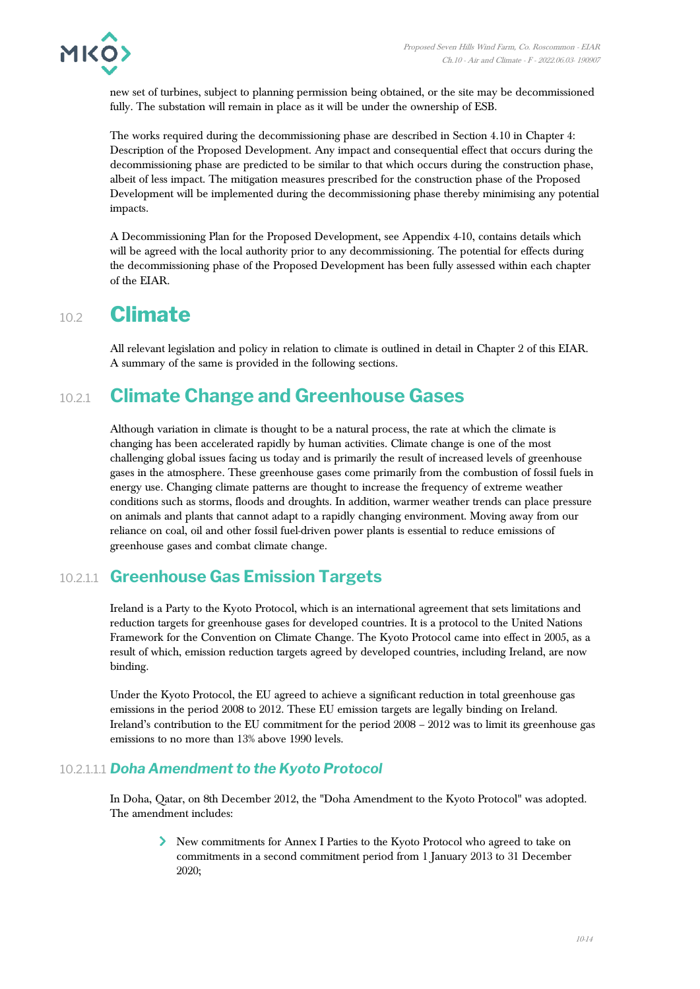

new set of turbines, subject to planning permission being obtained, or the site may be decommissioned fully. The substation will remain in place as it will be under the ownership of ESB.

The works required during the decommissioning phase are described in Section 4.10 in Chapter 4: Description of the Proposed Development. Any impact and consequential effect that occurs during the decommissioning phase are predicted to be similar to that which occurs during the construction phase, albeit of less impact. The mitigation measures prescribed for the construction phase of the Proposed Development will be implemented during the decommissioning phase thereby minimising any potential impacts.

A Decommissioning Plan for the Proposed Development, see Appendix 4-10, contains details which will be agreed with the local authority prior to any decommissioning. The potential for effects during the decommissioning phase of the Proposed Development has been fully assessed within each chapter of the EIAR.

# 10.2 **Climate**

All relevant legislation and policy in relation to climate is outlined in detail in Chapter 2 of this EIAR. A summary of the same is provided in the following sections.

# 10.2.1 **Climate Change and Greenhouse Gases**

Although variation in climate is thought to be a natural process, the rate at which the climate is changing has been accelerated rapidly by human activities. Climate change is one of the most challenging global issues facing us today and is primarily the result of increased levels of greenhouse gases in the atmosphere. These greenhouse gases come primarily from the combustion of fossil fuels in energy use. Changing climate patterns are thought to increase the frequency of extreme weather conditions such as storms, floods and droughts. In addition, warmer weather trends can place pressure on animals and plants that cannot adapt to a rapidly changing environment. Moving away from our reliance on coal, oil and other fossil fuel-driven power plants is essential to reduce emissions of greenhouse gases and combat climate change.

## 10.2.1.1 **Greenhouse Gas Emission Targets**

Ireland is a Party to the Kyoto Protocol, which is an international agreement that sets limitations and reduction targets for greenhouse gases for developed countries. It is a protocol to the United Nations Framework for the Convention on Climate Change. The Kyoto Protocol came into effect in 2005, as a result of which, emission reduction targets agreed by developed countries, including Ireland, are now binding.

Under the Kyoto Protocol, the EU agreed to achieve a significant reduction in total greenhouse gas emissions in the period 2008 to 2012. These EU emission targets are legally binding on Ireland. Ireland's contribution to the EU commitment for the period 2008 – 2012 was to limit its greenhouse gas emissions to no more than 13% above 1990 levels.

#### 10.2.1.1.1 *Doha Amendment to the Kyoto Protocol*

In Doha, Qatar, on 8th December 2012, the "Doha Amendment to the Kyoto Protocol" was adopted. The amendment includes:

> New commitments for Annex I Parties to the Kyoto Protocol who agreed to take on commitments in a second commitment period from 1 January 2013 to 31 December 2020;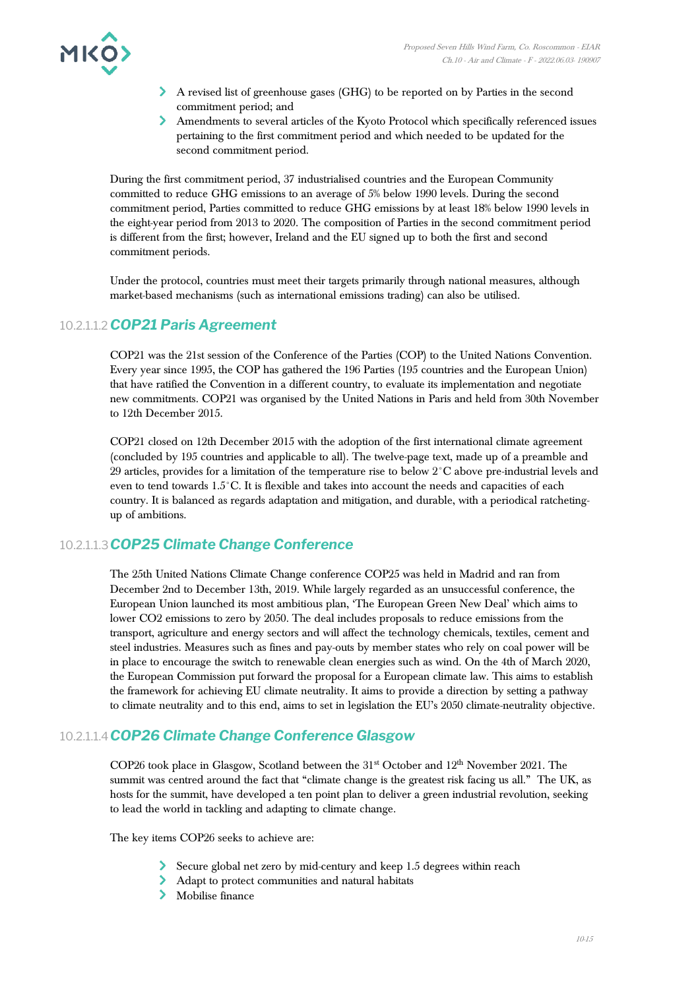

- A revised list of greenhouse gases (GHG) to be reported on by Parties in the second commitment period; and
- Amendments to several articles of the Kyoto Protocol which specifically referenced issues pertaining to the first commitment period and which needed to be updated for the second commitment period.

During the first commitment period, 37 industrialised countries and the European Community committed to reduce GHG emissions to an average of 5% below 1990 levels. During the second commitment period, Parties committed to reduce GHG emissions by at least 18% below 1990 levels in the eight-year period from 2013 to 2020. The composition of Parties in the second commitment period is different from the first; however, Ireland and the EU signed up to both the first and second commitment periods.

Under the protocol, countries must meet their targets primarily through national measures, although market-based mechanisms (such as international emissions trading) can also be utilised.

#### 10.2.1.1.2*COP21 Paris Agreement*

COP21 was the 21st session of the Conference of the Parties (COP) to the United Nations Convention. Every year since 1995, the COP has gathered the 196 Parties (195 countries and the European Union) that have ratified the Convention in a different country, to evaluate its implementation and negotiate new commitments. COP21 was organised by the United Nations in Paris and held from 30th November to 12th December 2015.

COP21 closed on 12th December 2015 with the adoption of the first international climate agreement (concluded by 195 countries and applicable to all). The twelve-page text, made up of a preamble and 29 articles, provides for a limitation of the temperature rise to below 2°C above pre-industrial levels and even to tend towards 1.5°C. It is flexible and takes into account the needs and capacities of each country. It is balanced as regards adaptation and mitigation, and durable, with a periodical ratchetingup of ambitions.

#### 10.2.1.1.3*COP25 Climate Change Conference*

The 25th United Nations Climate Change conference COP25 was held in Madrid and ran from December 2nd to December 13th, 2019. While largely regarded as an unsuccessful conference, the European Union launched its most ambitious plan, 'The European Green New Deal' which aims to lower CO2 emissions to zero by 2050. The deal includes proposals to reduce emissions from the transport, agriculture and energy sectors and will affect the technology chemicals, textiles, cement and steel industries. Measures such as fines and pay-outs by member states who rely on coal power will be in place to encourage the switch to renewable clean energies such as wind. On the 4th of March 2020, the European Commission put forward the proposal for a European climate law. This aims to establish the framework for achieving EU climate neutrality. It aims to provide a direction by setting a pathway to climate neutrality and to this end, aims to set in legislation the EU's 2050 climate-neutrality objective.

#### 10.2.1.1.4*COP26 Climate Change Conference Glasgow*

COP26 took place in Glasgow, Scotland between the  $31<sup>st</sup>$  October and  $12<sup>th</sup>$  November 2021. The summit was centred around the fact that "climate change is the greatest risk facing us all." The UK, as hosts for the summit, have developed a ten point plan to deliver a green industrial revolution, seeking to lead the world in tackling and adapting to climate change.

The key items COP26 seeks to achieve are:

- Secure global net zero by mid-century and keep 1.5 degrees within reach
- Adapt to protect communities and natural habitats
- Mobilise finance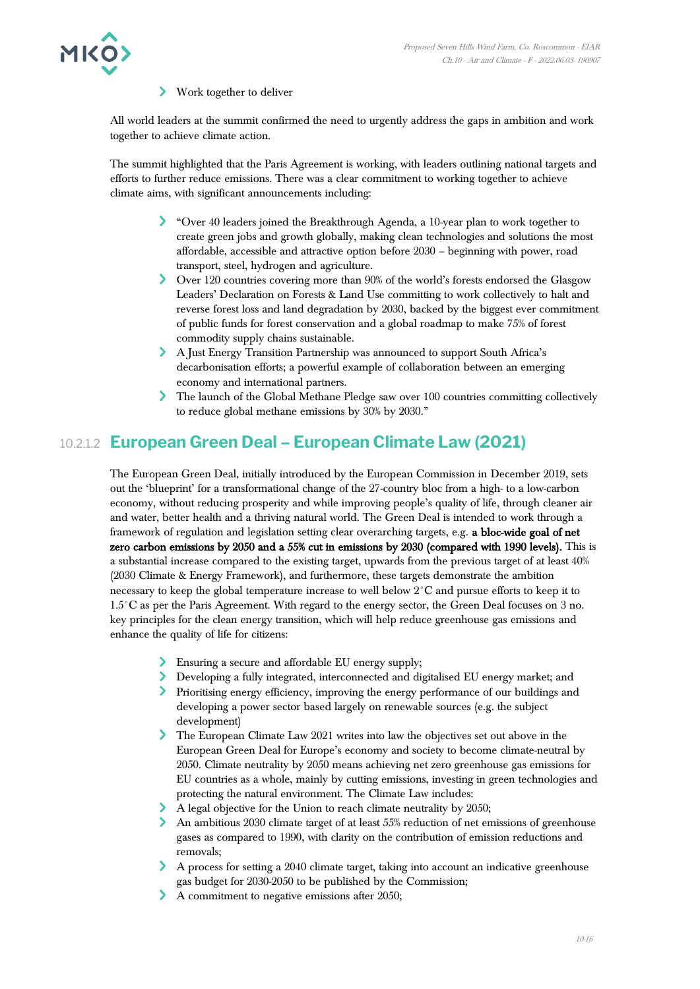#### ≻ Work together to deliver

All world leaders at the summit confirmed the need to urgently address the gaps in ambition and work together to achieve climate action.

The summit highlighted that the Paris Agreement is working, with leaders outlining national targets and efforts to further reduce emissions. There was a clear commitment to working together to achieve climate aims, with significant announcements including:

- "Over 40 leaders joined the Breakthrough Agenda, a 10-year plan to work together to create green jobs and growth globally, making clean technologies and solutions the most affordable, accessible and attractive option before 2030 – beginning with power, road transport, steel, hydrogen and agriculture.
- Over 120 countries covering more than 90% of the world's forests endorsed the Glasgow Leaders' Declaration on Forests & Land Use committing to work collectively to halt and reverse forest loss and land degradation by 2030, backed by the biggest ever commitment of public funds for forest conservation and a global roadmap to make 75% of forest commodity supply chains sustainable.
- A Just Energy Transition Partnership was announced to support South Africa's decarbonisation efforts; a powerful example of collaboration between an emerging economy and international partners.
- The launch of the Global Methane Pledge saw over 100 countries committing collectively to reduce global methane emissions by 30% by 2030."

## 10.2.1.2 **European Green Deal – European Climate Law (2021)**

The European Green Deal, initially introduced by the European Commission in December 2019, sets out the 'blueprint' for a transformational change of the 27-country bloc from a high- to a low-carbon economy, without reducing prosperity and while improving people's quality of life, through cleaner air and water, better health and a thriving natural world. The Green Deal is intended to work through a framework of regulation and legislation setting clear overarching targets, e.g. a bloc-wide goal of net zero carbon emissions by 2050 and a 55% cut in emissions by 2030 (compared with 1990 levels). This is a substantial increase compared to the existing target, upwards from the previous target of at least 40% (2030 Climate & Energy Framework), and furthermore, these targets demonstrate the ambition necessary to keep the global temperature increase to well below 2°C and pursue efforts to keep it to 1.5°C as per the Paris Agreement. With regard to the energy sector, the Green Deal focuses on 3 no. key principles for the clean energy transition, which will help reduce greenhouse gas emissions and enhance the quality of life for citizens:

- Ensuring a secure and affordable EU energy supply;
- Developing a fully integrated, interconnected and digitalised EU energy market; and
- Prioritising energy efficiency, improving the energy performance of our buildings and developing a power sector based largely on renewable sources (e.g. the subject development)
- The European Climate Law 2021 writes into law the objectives set out above in the European Green Deal for Europe's economy and society to become climate-neutral by 2050. Climate neutrality by 2050 means achieving net zero greenhouse gas emissions for EU countries as a whole, mainly by cutting emissions, investing in green technologies and protecting the natural environment. The Climate Law includes:
- A legal objective for the Union to reach climate neutrality by 2050;
- An ambitious 2030 climate target of at least 55% reduction of net emissions of greenhouse gases as compared to 1990, with clarity on the contribution of emission reductions and removals;
- A process for setting a 2040 climate target, taking into account an indicative greenhouse gas budget for 2030-2050 to be published by the Commission;
- A commitment to negative emissions after 2050;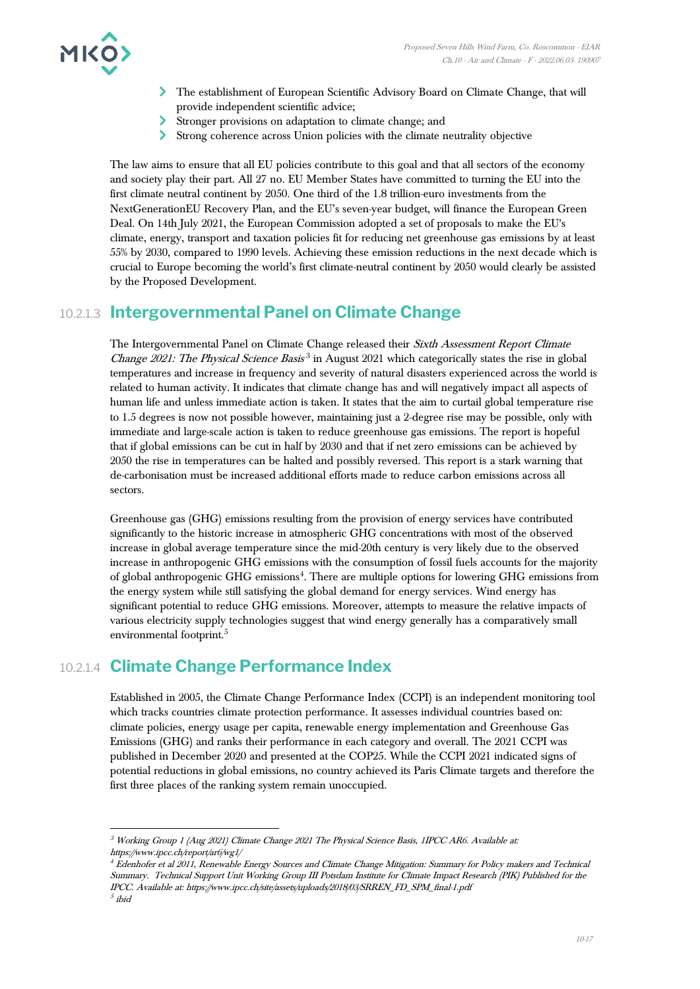

- The establishment of European Scientific Advisory Board on Climate Change, that will provide independent scientific advice;
- Stronger provisions on adaptation to climate change; and
- Strong coherence across Union policies with the climate neutrality objective

The law aims to ensure that all EU policies contribute to this goal and that all sectors of the economy and society play their part. All 27 no. EU Member States have committed to turning the EU into the first climate neutral continent by 2050. One third of the 1.8 trillion-euro investments from the NextGenerationEU Recovery Plan, and the EU's seven-year budget, will finance the European Green Deal. On 14th July 2021, the European Commission adopted a set of proposals to make the EU's climate, energy, transport and taxation policies fit for reducing net greenhouse gas emissions by at least 55% by 2030, compared to 1990 levels. Achieving these emission reductions in the next decade which is crucial to Europe becoming the world's first climate-neutral continent by 2050 would clearly be assisted by the Proposed Development.

## 10.2.1.3 **Intergovernmental Panel on Climate Change**

The Intergovernmental Panel on Climate Change released their Sixth Assessment Report Climate Change 2021: The Physical Science Basis<sup>3</sup> in August 2021 which categorically states the rise in global temperatures and increase in frequency and severity of natural disasters experienced across the world is related to human activity. It indicates that climate change has and will negatively impact all aspects of human life and unless immediate action is taken. It states that the aim to curtail global temperature rise to 1.5 degrees is now not possible however, maintaining just a 2-degree rise may be possible, only with immediate and large-scale action is taken to reduce greenhouse gas emissions. The report is hopeful that if global emissions can be cut in half by 2030 and that if net zero emissions can be achieved by 2050 the rise in temperatures can be halted and possibly reversed. This report is a stark warning that de-carbonisation must be increased additional efforts made to reduce carbon emissions across all sectors.

Greenhouse gas (GHG) emissions resulting from the provision of energy services have contributed significantly to the historic increase in atmospheric GHG concentrations with most of the observed increase in global average temperature since the mid-20th century is very likely due to the observed increase in anthropogenic GHG emissions with the consumption of fossil fuels accounts for the majority of global anthropogenic GHG emissions<sup>4</sup>. There are multiple options for lowering GHG emissions from the energy system while still satisfying the global demand for energy services. Wind energy has significant potential to reduce GHG emissions. Moreover, attempts to measure the relative impacts of various electricity supply technologies suggest that wind energy generally has a comparatively small environmental footprint.<sup>5</sup>

# 10.2.1.4 **Climate Change Performance Index**

Established in 2005, the Climate Change Performance Index (CCPI) is an independent monitoring tool which tracks countries climate protection performance. It assesses individual countries based on: climate policies, energy usage per capita, renewable energy implementation and Greenhouse Gas Emissions (GHG) and ranks their performance in each category and overall. The 2021 CCPI was published in December 2020 and presented at the COP25. While the CCPI 2021 indicated signs of potential reductions in global emissions, no country achieved its Paris Climate targets and therefore the first three places of the ranking system remain unoccupied.

<sup>&</sup>lt;sup>3</sup> Working Group 1 (Aug 2021) Climate Change 2021 The Physical Science Basis, 1IPCC AR6. Available at: https://www.ipcc.ch/report/ar6/wg1/

 $^4$  Edenhofer et al 2011, Renewable Energy Sources and Climate Change Mitigation: Summary for Policy makers and Technical Summary. Technical Support Unit Working Group III Potsdam Institute for Climate Impact Research (PIK) Published for the IPCC. Available at: https://www.ipcc.ch/site/assets/uploads/2018/03/SRREN\_FD\_SPM\_final-1.pdf  $^5$  ibid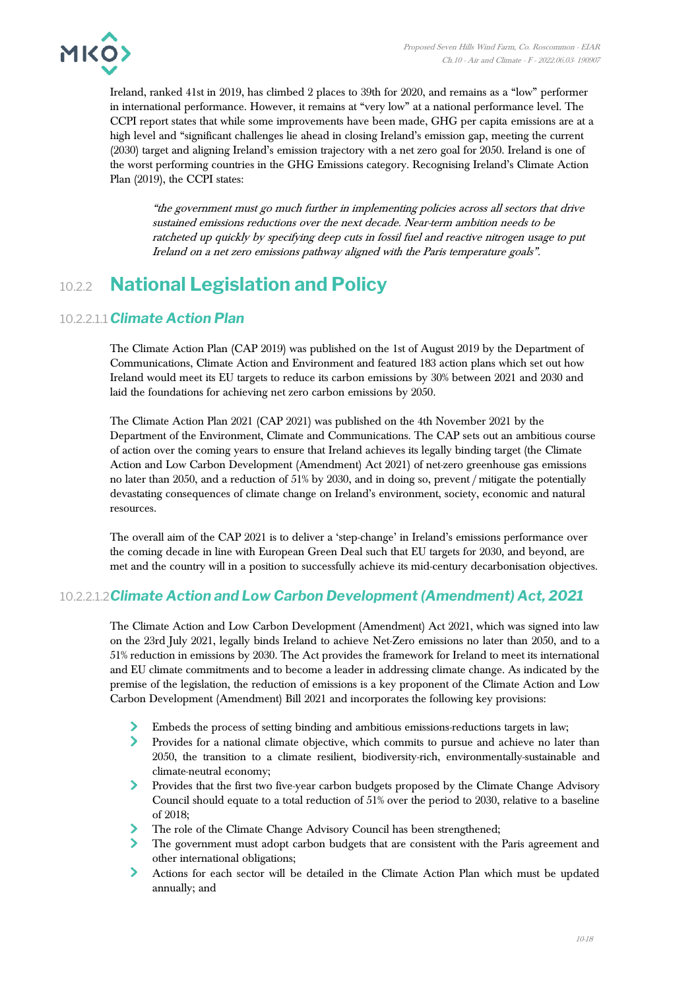

Ireland, ranked 41st in 2019, has climbed 2 places to 39th for 2020, and remains as a "low" performer in international performance. However, it remains at "very low" at a national performance level. The CCPI report states that while some improvements have been made, GHG per capita emissions are at a high level and "significant challenges lie ahead in closing Ireland's emission gap, meeting the current (2030) target and aligning Ireland's emission trajectory with a net zero goal for 2050. Ireland is one of the worst performing countries in the GHG Emissions category. Recognising Ireland's Climate Action Plan (2019), the CCPI states:

"the government must go much further in implementing policies across all sectors that drive sustained emissions reductions over the next decade. Near-term ambition needs to be ratcheted up quickly by specifying deep cuts in fossil fuel and reactive nitrogen usage to put Ireland on a net zero emissions pathway aligned with the Paris temperature goals".

# 10.2.2 **National Legislation and Policy**

#### 10.2.2.1.1*Climate Action Plan*

The Climate Action Plan (CAP 2019) was published on the 1st of August 2019 by the Department of Communications, Climate Action and Environment and featured 183 action plans which set out how Ireland would meet its EU targets to reduce its carbon emissions by 30% between 2021 and 2030 and laid the foundations for achieving net zero carbon emissions by 2050.

The Climate Action Plan 2021 (CAP 2021) was published on the 4th November 2021 by the Department of the Environment, Climate and Communications. The CAP sets out an ambitious course of action over the coming years to ensure that Ireland achieves its legally binding target (the Climate Action and Low Carbon Development (Amendment) Act 2021) of net-zero greenhouse gas emissions no later than 2050, and a reduction of 51% by 2030, and in doing so, prevent / mitigate the potentially devastating consequences of climate change on Ireland's environment, society, economic and natural resources.

The overall aim of the CAP 2021 is to deliver a 'step-change' in Ireland's emissions performance over the coming decade in line with European Green Deal such that EU targets for 2030, and beyond, are met and the country will in a position to successfully achieve its mid-century decarbonisation objectives.

#### 10.2.2.1.2*Climate Action and Low Carbon Development (Amendment) Act, 2021*

The Climate Action and Low Carbon Development (Amendment) Act 2021, which was signed into law on the 23rd July 2021, legally binds Ireland to achieve Net-Zero emissions no later than 2050, and to a 51% reduction in emissions by 2030. The Act provides the framework for Ireland to meet its international and EU climate commitments and to become a leader in addressing climate change. As indicated by the premise of the legislation, the reduction of emissions is a key proponent of the Climate Action and Low Carbon Development (Amendment) Bill 2021 and incorporates the following key provisions:

- Embeds the process of setting binding and ambitious emissions-reductions targets in law;
- $\blacktriangleright$ Provides for a national climate objective, which commits to pursue and achieve no later than 2050, the transition to a climate resilient, biodiversity-rich, environmentally-sustainable and climate-neutral economy;
- $\sum$ Provides that the first two five-year carbon budgets proposed by the Climate Change Advisory Council should equate to a total reduction of 51% over the period to 2030, relative to a baseline of 2018;
- $\blacktriangleright$ The role of the Climate Change Advisory Council has been strengthened;
- $\blacktriangleright$ The government must adopt carbon budgets that are consistent with the Paris agreement and other international obligations;
- $\blacktriangleright$ Actions for each sector will be detailed in the Climate Action Plan which must be updated annually; and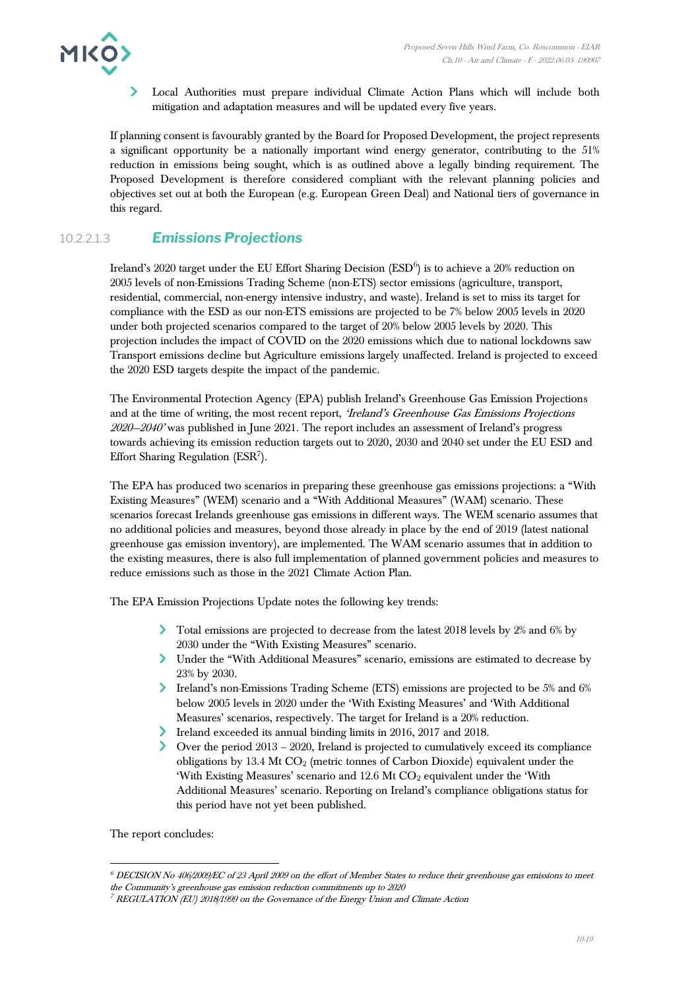

Local Authorities must prepare individual Climate Action Plans which will include both mitigation and adaptation measures and will be updated every five years.

If planning consent is favourably granted by the Board for Proposed Development, the project represents a significant opportunity be a nationally important wind energy generator, contributing to the 51% reduction in emissions being sought, which is as outlined above a legally binding requirement. The Proposed Development is therefore considered compliant with the relevant planning policies and objectives set out at both the European (e.g. European Green Deal) and National tiers of governance in this regard.

#### 10.2.2.1.3 *Emissions Projections*

Ireland's 2020 target under the EU Effort Sharing Decision (ESD $^6$ ) is to achieve a 20% reduction on 2005 levels of non-Emissions Trading Scheme (non-ETS) sector emissions (agriculture, transport, residential, commercial, non-energy intensive industry, and waste). Ireland is set to miss its target for compliance with the ESD as our non-ETS emissions are projected to be 7% below 2005 levels in 2020 under both projected scenarios compared to the target of 20% below 2005 levels by 2020. This projection includes the impact of COVID on the 2020 emissions which due to national lockdowns saw Transport emissions decline but Agriculture emissions largely unaffected. Ireland is projected to exceed the 2020 ESD targets despite the impact of the pandemic.

The Environmental Protection Agency (EPA) publish Ireland's Greenhouse Gas Emission Projections and at the time of writing, the most recent report, 'Ireland's Greenhouse Gas Emissions Projections  $2020 - 2040'$  was published in June 2021. The report includes an assessment of Ireland's progress towards achieving its emission reduction targets out to 2020, 2030 and 2040 set under the EU ESD and Effort Sharing Regulation (ESR<sup>7</sup>).

The EPA has produced two scenarios in preparing these greenhouse gas emissions projections: a "With Existing Measures" (WEM) scenario and a "With Additional Measures" (WAM) scenario. These scenarios forecast Irelands greenhouse gas emissions in different ways. The WEM scenario assumes that no additional policies and measures, beyond those already in place by the end of 2019 (latest national greenhouse gas emission inventory), are implemented. The WAM scenario assumes that in addition to the existing measures, there is also full implementation of planned government policies and measures to reduce emissions such as those in the 2021 Climate Action Plan.

The EPA Emission Projections Update notes the following key trends:

- Total emissions are projected to decrease from the latest 2018 levels by 2% and 6% by 2030 under the "With Existing Measures" scenario.
- Under the "With Additional Measures" scenario, emissions are estimated to decrease by 23% by 2030.
- Ireland's non-Emissions Trading Scheme (ETS) emissions are projected to be 5% and 6% below 2005 levels in 2020 under the 'With Existing Measures' and 'With Additional Measures' scenarios, respectively. The target for Ireland is a 20% reduction.
- Ireland exceeded its annual binding limits in 2016, 2017 and 2018.
- Over the period 2013 2020, Ireland is projected to cumulatively exceed its compliance obligations by 13.4 Mt CO<sup>2</sup> (metric tonnes of Carbon Dioxide) equivalent under the 'With Existing Measures' scenario and 12.6 Mt CO<sub>2</sub> equivalent under the 'With Additional Measures' scenario. Reporting on Ireland's compliance obligations status for this period have not yet been published.

The report concludes:

<sup>6</sup> DECISION No 406/2009/EC of 23 April 2009 on the effort of Member States to reduce their greenhouse gas emissions to meet the Community's greenhouse gas emission reduction commitments up to 2020

 $^{7}$  REGULATION (EU) 2018/1999 on the Governance of the Energy Union and Climate Action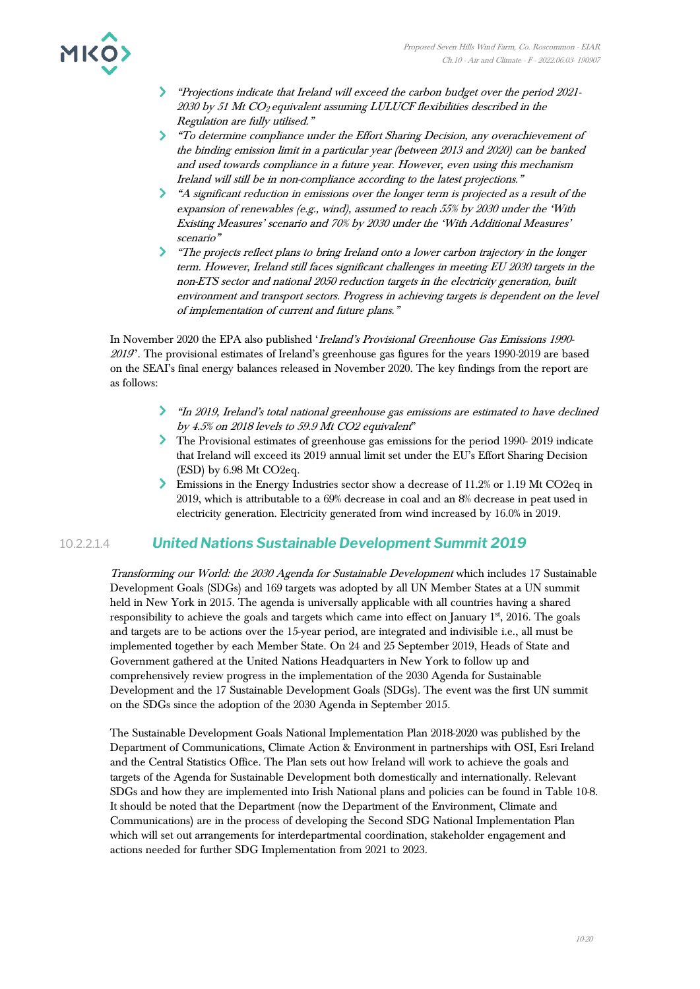

- "Projections indicate that Ireland will exceed the carbon budget over the period 2021- 2030 by 51 Mt CO2 equivalent assuming LULUCF flexibilities described in the Regulation are fully utilised."
- "To determine compliance under the Effort Sharing Decision, any overachievement of the binding emission limit in a particular year (between 2013 and 2020) can be banked and used towards compliance in a future year. However, even using this mechanism Ireland will still be in non-compliance according to the latest projections."
- "A significant reduction in emissions over the longer term is projected as a result of the expansion of renewables (e.g., wind), assumed to reach 55% by 2030 under the 'With Existing Measures' scenario and 70% by 2030 under the 'With Additional Measures' scenario"
- The projects reflect plans to bring Ireland onto a lower carbon trajectory in the longer term. However, Ireland still faces significant challenges in meeting EU 2030 targets in the non-ETS sector and national 2050 reduction targets in the electricity generation, built environment and transport sectors. Progress in achieving targets is dependent on the level of implementation of current and future plans."

In November 2020 the EPA also published 'Ireland's Provisional Greenhouse Gas Emissions 1990- <sup>2019</sup>''. The provisional estimates of Ireland's greenhouse gas figures for the years 1990-2019 are based on the SEAI's final energy balances released in November 2020. The key findings from the report are as follows:

- "In 2019, Ireland's total national greenhouse gas emissions are estimated to have declined by 4.5% on 2018 levels to 59.9 Mt CO2 equivalent"
- The Provisional estimates of greenhouse gas emissions for the period 1990- 2019 indicate that Ireland will exceed its 2019 annual limit set under the EU's Effort Sharing Decision (ESD) by 6.98 Mt CO2eq.
- Emissions in the Energy Industries sector show a decrease of 11.2% or 1.19 Mt CO2eq in 2019, which is attributable to a 69% decrease in coal and an 8% decrease in peat used in electricity generation. Electricity generated from wind increased by 16.0% in 2019.

#### 10.2.2.1.4 *United Nations Sustainable Development Summit 2019*

Transforming our World: the 2030 Agenda for Sustainable Development which includes 17 Sustainable Development Goals (SDGs) and 169 targets was adopted by all UN Member States at a UN summit held in New York in 2015. The agenda is universally applicable with all countries having a shared responsibility to achieve the goals and targets which came into effect on January 1st, 2016. The goals and targets are to be actions over the 15-year period, are integrated and indivisible i.e., all must be implemented together by each Member State. On 24 and 25 September 2019, Heads of State and Government gathered at the United Nations Headquarters in New York to follow up and comprehensively review progress in the implementation of the 2030 Agenda for Sustainable Development and the 17 Sustainable Development Goals (SDGs). The event was the first UN summit on the SDGs since the adoption of the 2030 Agenda in September 2015.

The Sustainable Development Goals National Implementation Plan 2018-2020 was published by the Department of Communications, Climate Action & Environment in partnerships with OSI, Esri Ireland and the Central Statistics Office. The Plan sets out how Ireland will work to achieve the goals and targets of the Agenda for Sustainable Development both domestically and internationally. Relevant SDGs and how they are implemented into Irish National plans and policies can be found in Table 10-8. It should be noted that the Department (now the Department of the Environment, Climate and Communications) are in the process of developing the Second SDG National Implementation Plan which will set out arrangements for interdepartmental coordination, stakeholder engagement and actions needed for further SDG Implementation from 2021 to 2023.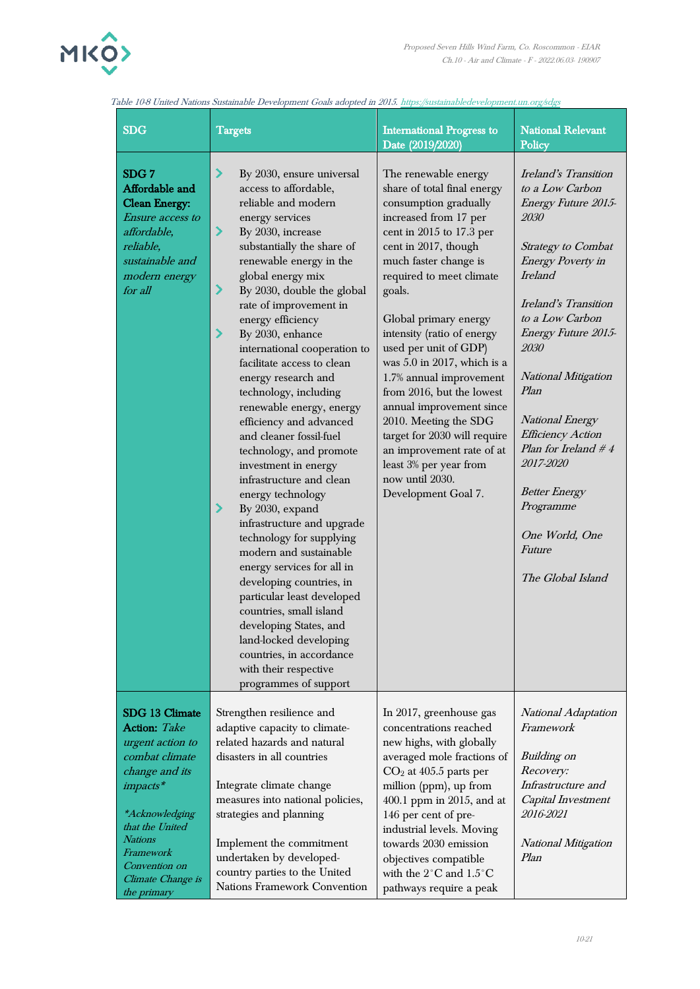

the primary

Nations Framework Convention

pathways require a peak

| <b>SDG</b>                                                                                                                                                                                                          | <b>Targets</b>                                                                                                                                                                                                                                                                                                                                                                                                                                                                                                                                                                                                                                                                                                                                                                                                                                                                                                                                                                                                | <b>International Progress to</b><br>Date (2019/2020)                                                                                                                                                                                                                                                                                                                                                                                                                                                                                                                                    | <b>National Relevant</b><br>Policy                                                                                                                                                                                                                                                                                                                                                                                                                        |
|---------------------------------------------------------------------------------------------------------------------------------------------------------------------------------------------------------------------|---------------------------------------------------------------------------------------------------------------------------------------------------------------------------------------------------------------------------------------------------------------------------------------------------------------------------------------------------------------------------------------------------------------------------------------------------------------------------------------------------------------------------------------------------------------------------------------------------------------------------------------------------------------------------------------------------------------------------------------------------------------------------------------------------------------------------------------------------------------------------------------------------------------------------------------------------------------------------------------------------------------|-----------------------------------------------------------------------------------------------------------------------------------------------------------------------------------------------------------------------------------------------------------------------------------------------------------------------------------------------------------------------------------------------------------------------------------------------------------------------------------------------------------------------------------------------------------------------------------------|-----------------------------------------------------------------------------------------------------------------------------------------------------------------------------------------------------------------------------------------------------------------------------------------------------------------------------------------------------------------------------------------------------------------------------------------------------------|
| SDG <sub>7</sub><br>Affordable and<br><b>Clean Energy:</b><br>Ensure access to<br>affordable,<br>reliable,<br>sustainable and<br>modern energy<br>for all                                                           | ⋗<br>By 2030, ensure universal<br>access to affordable,<br>reliable and modern<br>energy services<br>ゝ<br>By 2030, increase<br>substantially the share of<br>renewable energy in the<br>global energy mix<br>$\blacktriangleright$<br>By 2030, double the global<br>rate of improvement in<br>energy efficiency<br>⋗<br>By 2030, enhance<br>international cooperation to<br>facilitate access to clean<br>energy research and<br>technology, including<br>renewable energy, energy<br>efficiency and advanced<br>and cleaner fossil-fuel<br>technology, and promote<br>investment in energy<br>infrastructure and clean<br>energy technology<br>⋗<br>By 2030, expand<br>infrastructure and upgrade<br>technology for supplying<br>modern and sustainable<br>energy services for all in<br>developing countries, in<br>particular least developed<br>countries, small island<br>developing States, and<br>land-locked developing<br>countries, in accordance<br>with their respective<br>programmes of support | The renewable energy<br>share of total final energy<br>consumption gradually<br>increased from 17 per<br>cent in 2015 to 17.3 per<br>cent in 2017, though<br>much faster change is<br>required to meet climate<br>goals.<br>Global primary energy<br>intensity (ratio of energy<br>used per unit of GDP)<br>was $5.0$ in 2017, which is a<br>1.7% annual improvement<br>from 2016, but the lowest<br>annual improvement since<br>2010. Meeting the SDG<br>target for 2030 will require<br>an improvement rate of at<br>least 3% per year from<br>now until 2030.<br>Development Goal 7. | Ireland's Transition<br>to a Low Carbon<br><b>Energy Future 2015-</b><br>2030<br><b>Strategy to Combat</b><br><b>Energy Poverty in</b><br><i>Ireland</i><br>Ireland's Transition<br>to a Low Carbon<br><b>Energy Future 2015-</b><br>2030<br>National Mitigation<br>Plan<br>National Energy<br><b>Efficiency Action</b><br>Plan for Ireland # 4<br>2017-2020<br><b>Better Energy</b><br>Programme<br>One World, One<br><b>Future</b><br>The Global Island |
| SDG 13 Climate<br><b>Action:</b> Take<br>urgent action to<br>combat climate<br>change and its<br>impacts*<br><i>*Acknowledging</i><br>that the United<br>Nations<br>Framework<br>Convention on<br>Climate Change is | Strengthen resilience and<br>adaptive capacity to climate-<br>related hazards and natural<br>disasters in all countries<br>Integrate climate change<br>measures into national policies,<br>strategies and planning<br>Implement the commitment<br>undertaken by developed-<br>country parties to the United                                                                                                                                                                                                                                                                                                                                                                                                                                                                                                                                                                                                                                                                                                   | In 2017, greenhouse gas<br>concentrations reached<br>new highs, with globally<br>averaged mole fractions of<br>$CO2$ at 405.5 parts per<br>million (ppm), up from<br>400.1 ppm in 2015, and at<br>146 per cent of pre-<br>industrial levels. Moving<br>towards 2030 emission<br>objectives compatible<br>with the $2^{\circ}\mathrm{C}$ and $1.5^{\circ}\mathrm{C}$                                                                                                                                                                                                                     | National Adaptation<br>Framework<br><b>Building</b> on<br><i>Recovery:</i><br>Infrastructure and<br>Capital Investment<br>2016-2021<br>National Mitigation<br>Plan                                                                                                                                                                                                                                                                                        |

Table 10-8 United Nations Sustainable Development Goals adopted in 201[5. https://sustainabledevelopment.un.org/sdgs](https://sustainabledevelopment.un.org/sdgs)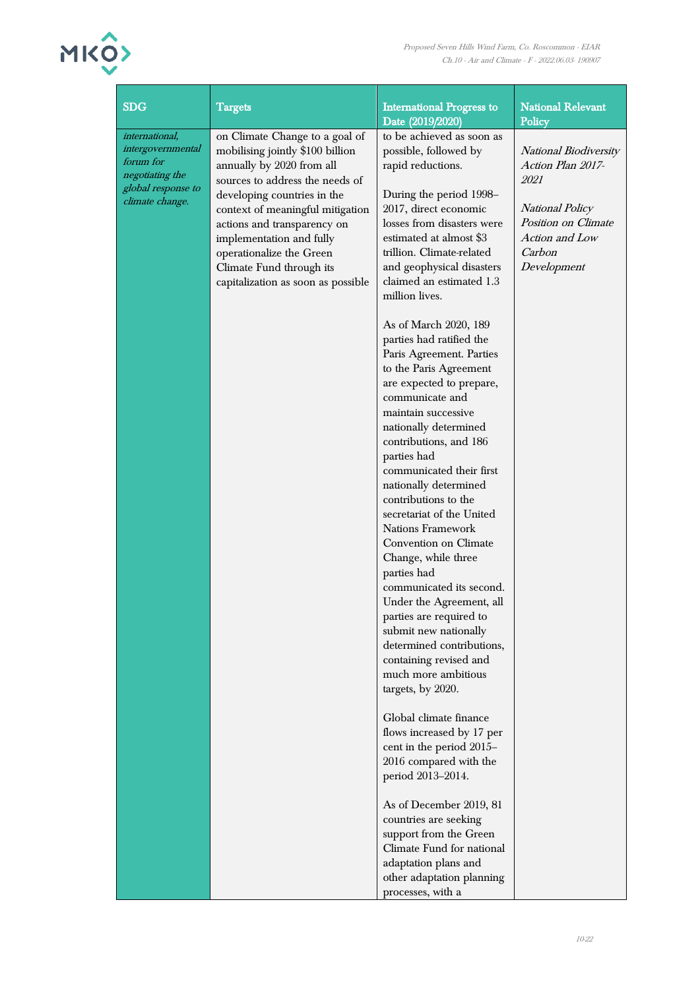# MKO

| <b>SDG</b>                                                                                                   | <b>Targets</b>                                                                                                                                                                                                                                                                                                                                                 | <b>International Progress to</b><br>Date (2019/2020)                                                                                                                                                                                                                                                                                                                                                                                                                                                                                                                                                                                                         | <b>National Relevant</b><br>Policy                                                                                                                    |
|--------------------------------------------------------------------------------------------------------------|----------------------------------------------------------------------------------------------------------------------------------------------------------------------------------------------------------------------------------------------------------------------------------------------------------------------------------------------------------------|--------------------------------------------------------------------------------------------------------------------------------------------------------------------------------------------------------------------------------------------------------------------------------------------------------------------------------------------------------------------------------------------------------------------------------------------------------------------------------------------------------------------------------------------------------------------------------------------------------------------------------------------------------------|-------------------------------------------------------------------------------------------------------------------------------------------------------|
| international,<br>intergovernmental<br>forum for<br>negotiating the<br>global response to<br>climate change. | on Climate Change to a goal of<br>mobilising jointly \$100 billion<br>annually by 2020 from all<br>sources to address the needs of<br>developing countries in the<br>context of meaningful mitigation<br>actions and transparency on<br>implementation and fully<br>operationalize the Green<br>Climate Fund through its<br>capitalization as soon as possible | to be achieved as soon as<br>possible, followed by<br>rapid reductions.<br>During the period 1998–<br>2017, direct economic<br>losses from disasters were<br>estimated at almost \$3<br>trillion. Climate-related<br>and geophysical disasters<br>claimed an estimated 1.3<br>million lives.                                                                                                                                                                                                                                                                                                                                                                 | <b>National Biodiversity</b><br>Action Plan 2017-<br>2021<br><b>National Policy</b><br>Position on Climate<br>Action and Low<br>Carbon<br>Development |
|                                                                                                              |                                                                                                                                                                                                                                                                                                                                                                | As of March 2020, 189<br>parties had ratified the<br>Paris Agreement. Parties<br>to the Paris Agreement<br>are expected to prepare,<br>communicate and<br>maintain successive<br>nationally determined<br>contributions, and 186<br>parties had<br>communicated their first<br>nationally determined<br>contributions to the<br>secretariat of the United<br>Nations Framework<br>Convention on Climate<br>Change, while three<br>parties had<br>communicated its second.<br>Under the Agreement, all<br>parties are required to<br>submit new nationally<br>determined contributions,<br>containing revised and<br>much more ambitious<br>targets, by 2020. |                                                                                                                                                       |
|                                                                                                              |                                                                                                                                                                                                                                                                                                                                                                | Global climate finance<br>flows increased by 17 per<br>cent in the period 2015-<br>2016 compared with the<br>period 2013-2014.                                                                                                                                                                                                                                                                                                                                                                                                                                                                                                                               |                                                                                                                                                       |
|                                                                                                              |                                                                                                                                                                                                                                                                                                                                                                | As of December 2019, 81<br>countries are seeking<br>support from the Green<br>Climate Fund for national<br>adaptation plans and<br>other adaptation planning<br>processes, with a                                                                                                                                                                                                                                                                                                                                                                                                                                                                            |                                                                                                                                                       |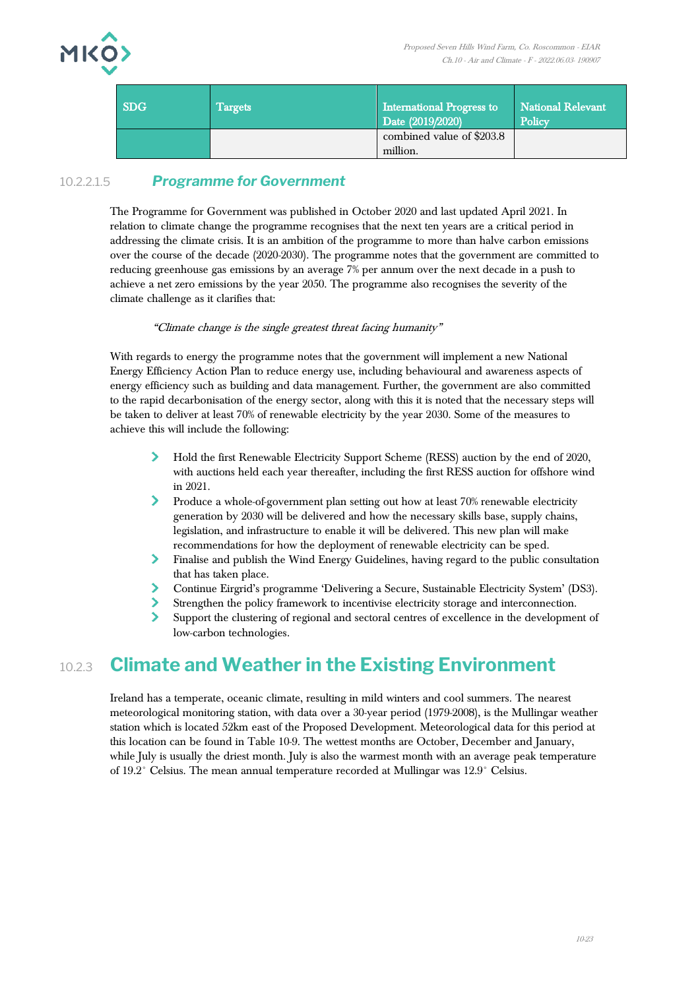

| <b>SDG</b> | Targets | <b>International Progress to</b><br>Date (2019/2020) | National Relevant<br>Policy |  |  |  |
|------------|---------|------------------------------------------------------|-----------------------------|--|--|--|
|            |         | combined value of \$203.8<br>million.                |                             |  |  |  |

#### 10.2.2.1.5 *Programme for Government*

The Programme for Government was published in October 2020 and last updated April 2021. In relation to climate change the programme recognises that the next ten years are a critical period in addressing the climate crisis. It is an ambition of the programme to more than halve carbon emissions over the course of the decade (2020-2030). The programme notes that the government are committed to reducing greenhouse gas emissions by an average 7% per annum over the next decade in a push to achieve a net zero emissions by the year 2050. The programme also recognises the severity of the climate challenge as it clarifies that:

#### "Climate change is the single greatest threat facing humanity"

With regards to energy the programme notes that the government will implement a new National Energy Efficiency Action Plan to reduce energy use, including behavioural and awareness aspects of energy efficiency such as building and data management. Further, the government are also committed to the rapid decarbonisation of the energy sector, along with this it is noted that the necessary steps will be taken to deliver at least 70% of renewable electricity by the year 2030. Some of the measures to achieve this will include the following:

- ≻ Hold the first Renewable Electricity Support Scheme (RESS) auction by the end of 2020, with auctions held each year thereafter, including the first RESS auction for offshore wind in 2021.
- $\blacktriangleright$ Produce a whole-of-government plan setting out how at least 70% renewable electricity generation by 2030 will be delivered and how the necessary skills base, supply chains, legislation, and infrastructure to enable it will be delivered. This new plan will make recommendations for how the deployment of renewable electricity can be sped.
- Finalise and publish the Wind Energy Guidelines, having regard to the public consultation that has taken place.
- $\blacktriangleright$ Continue Eirgrid's programme 'Delivering a Secure, Sustainable Electricity System' (DS3).
- Strengthen the policy framework to incentivise electricity storage and interconnection.
- Support the clustering of regional and sectoral centres of excellence in the development of low-carbon technologies.

# 10.2.3 **Climate and Weather in the Existing Environment**

Ireland has a temperate, oceanic climate, resulting in mild winters and cool summers. The nearest meteorological monitoring station, with data over a 30-year period (1979-2008), is the Mullingar weather station which is located 52km east of the Proposed Development. Meteorological data for this period at this location can be found in [Table 10-9.](#page-23-0) The wettest months are October, December and January, while July is usually the driest month. July is also the warmest month with an average peak temperature of 19.2° Celsius. The mean annual temperature recorded at Mullingar was 12.9° Celsius.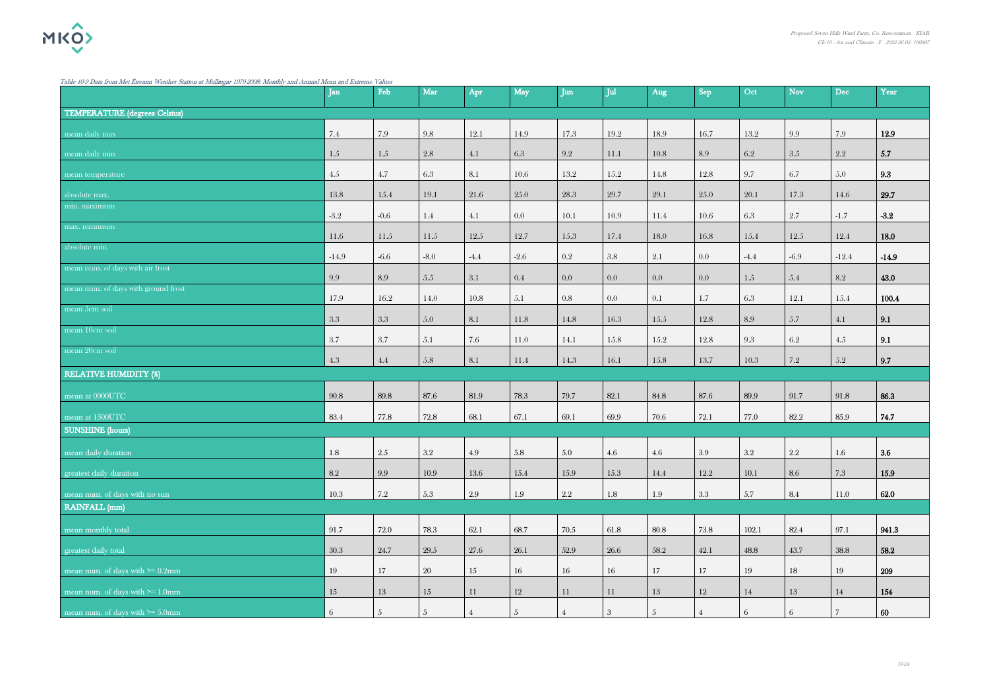<span id="page-23-0"></span>Table 10-9 Data from Met Éireann Weather Station at Mullingar 1979-2008: Monthly and Annual Mean and Extreme Values

| radie 10-9 Daia irom met eireann Weather Station at Multingar 1979-2006; Monumy and Annual Mean and Extreme Vaties | Jan     | Feb        | Mar            | Apr      | May      | Jun       | Jul           | Aug  | Sep      | Oct              | <b>Nov</b> | <b>Dec</b> | Year    |
|--------------------------------------------------------------------------------------------------------------------|---------|------------|----------------|----------|----------|-----------|---------------|------|----------|------------------|------------|------------|---------|
| <b>TEMPERATURE</b> (degrees Celsius)                                                                               |         |            |                |          |          |           |               |      |          |                  |            |            |         |
| mean daily max                                                                                                     | 7.4     | 7.9        | 9.8            | 12.1     | 14.9     | 17.3      | 19.2          | 18.9 | 16.7     | 13.2             | 9.9        | 7.9        | 12.9    |
| mean daily min                                                                                                     | 1.5     | 1.5        | 2.8            | 4.1      | 6.3      | 9.2       | 11.1          | 10.8 | 8.9      | 6.2              | 3.5        | 2.2        | 5.7     |
| mean temperature                                                                                                   | 4.5     | 4.7        | 6.3            | 8.1      | 10.6     | 13.2      | 15.2          | 14.8 | 12.8     | 9.7              | 6.7        | 5.0        | 9.3     |
| absolute max.                                                                                                      | 13.8    | 15.4       | 19.1           | 21.6     | 25.0     | 28.3      | 29.7          | 29.1 | 25.0     | 20.1             | 17.3       | 14.6       | 29.7    |
| min. maximum                                                                                                       | $-3.2$  | $-0.6$     | $1.4\,$        | 4.1      | 0.0      | 10.1      | 10.9          | 11.4 | $10.6\,$ | 6.3              | 2.7        | $-1.7$     | $-3.2$  |
| max. minimum                                                                                                       | 11.6    | 11.5       | $11.5\,$       | $12.5\,$ | 12.7     | 15.3      | 17.4          | 18.0 | 16.8     | 15.4             | 12.5       | 12.4       | 18.0    |
| absolute min.                                                                                                      | $-14.9$ | $-6.6$     | $-8.0$         | $-4.4$   | $-2.6$   | $\rm 0.2$ | $3.8\,$       | 2.1  | 0.0      | $-4.4$           | $-6.9$     | $-12.4$    | $-14.9$ |
| mean num. of days with air frost                                                                                   | 9.9     | 8.9        | $5.5\,$        | 3.1      | $0.4\,$  | 0.0       | 0.0           | 0.0  | 0.0      | 1.5              | 5.4        | 8.2        | 43.0    |
| mean num. of days with ground frost                                                                                | 17.9    | 16.2       | 14.0           | 10.8     | 5.1      | 0.8       | 0.0           | 0.1  | 1.7      | 6.3              | 12.1       | 15.4       | 100.4   |
| mean $5cm$ soil                                                                                                    | 3.3     | $3.3\,$    | 5.0            | 8.1      | 11.8     | 14.8      | 16.3          | 15.5 | 12.8     | 8.9              | 5.7        | 4.1        | 9.1     |
| mean 10cm soil                                                                                                     | 3.7     | 3.7        | 5.1            | 7.6      | 11.0     | 14.1      | 15.8          | 15.2 | 12.8     | 9.3              | 6.2        | 4.5        | 9.1     |
| mean 20cm soil                                                                                                     | $4.3\,$ | 4.4        | $5.8\,$        | 8.1      | 11.4     | 14.3      | 16.1          | 15.8 | 13.7     | 10.3             | 7.2        | 5.2        | 9.7     |
| <b>RELATIVE HUMIDITY (%)</b>                                                                                       |         |            |                |          |          |           |               |      |          |                  |            |            |         |
| mean at 0900UTC                                                                                                    | 90.8    | $89.8\,$   | 87.6           | 81.9     | 78.3     | 79.7      | 82.1          | 84.8 | 87.6     | 89.9             | 91.7       | 91.8       | 86.3    |
| mean at 1500UTC                                                                                                    | 83.4    | 77.8       | $72.8\,$       | 68.1     | 67.1     | 69.1      | 69.9          | 70.6 | 72.1     | $77.0\,$         | 82.2       | 85.9       | 74.7    |
| <b>SUNSHINE</b> (hours)                                                                                            |         |            |                |          |          |           |               |      |          |                  |            |            |         |
| mean daily duration                                                                                                | 1.8     | 2.5        | 3.2            | 4.9      | 5.8      | 5.0       | 4.6           | 4.6  | 3.9      | $3.2\phantom{0}$ | 2.2        | 1.6        | 3.6     |
| greatest daily duration                                                                                            | 8.2     | $\,9.9$    | $10.9\,$       | 13.6     | $15.4\,$ | 15.9      | $15.3\,$      | 14.4 | 12.2     | 10.1             | 8.6        | $7.3\,$    | 15.9    |
| mean num. of days with no sun                                                                                      | 10.3    | $7.2\,$    | 5.3            | 2.9      | $1.9\,$  | $2.2\,$   | $1.8\,$       | 1.9  | 3.3      | 5.7              | 8.4        | 11.0       | 62.0    |
| <b>RAINFALL</b> (mm)                                                                                               |         |            |                |          |          |           |               |      |          |                  |            |            |         |
| mean monthly total                                                                                                 | 91.7    | 72.0       | 78.3           | 62.1     | 68.7     | 70.5      | 61.8          | 80.8 | 73.8     | 102.1            | 82.4       | 97.1       | 941.3   |
| greatest daily total                                                                                               | 30.3    | 24.7       | $29.5\,$       | 27.6     | 26.1     | 52.9      | 26.6          | 58.2 | 42.1     | 48.8             | 43.7       | 38.8       | 58.2    |
| mean num. of days with $\geq 0.2$ mm                                                                               | 19      | 17         | 20             | 15       | 16       | 16        | $16\,$        | 17   | 17       | 19               | 18         | 19         | 209     |
| mean num. of days with $>= 1.0$ mm                                                                                 | 15      | 13         | $15\,$         | 11       | 12       | 11        | 11            | 13   | 12       | 14               | 13         | 14         | 154     |
| mean num. of days with $>= 5.0$ mm                                                                                 | 6       | $\sqrt{5}$ | $\overline{5}$ |          | .5       |           | $\mathcal{S}$ |      |          | 6                |            |            | 60      |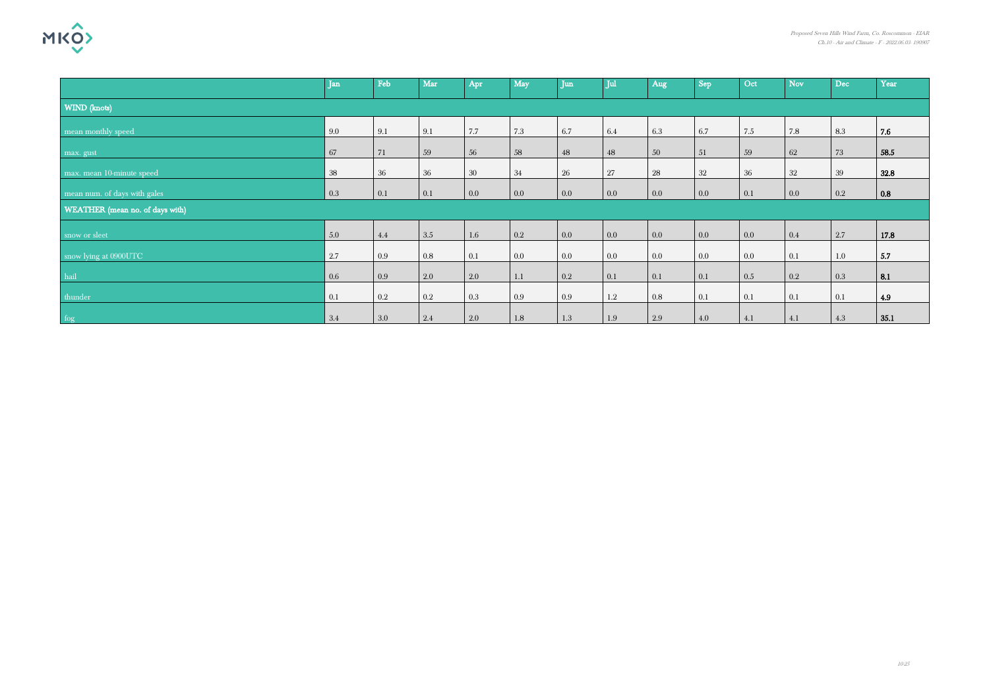

|                                 | $\mathbf{I}$ an | Feb       | Mar     | Apr     | May     | <b>Iun</b> | <b>Jul</b> | Aug | Sep | Oct     | <b>Nov</b> | Dec | Year |
|---------------------------------|-----------------|-----------|---------|---------|---------|------------|------------|-----|-----|---------|------------|-----|------|
| WIND (knots)                    |                 |           |         |         |         |            |            |     |     |         |            |     |      |
| mean monthly speed              | 9.0             | 9.1       | 9.1     | 7.7     | 7.3     | 6.7        | 6.4        | 6.3 | 6.7 | 7.5     | 7.8        | 8.3 | 7.6  |
| max. gust                       | 67              | 71        | 59      | 56      | 58      | 48         | 48         | 50  | 51  | 59      | 62         | 73  | 58.5 |
| max. mean 10-minute speed       | 38              | 36        | 36      | $30\,$  | 34      | 26         | $27\,$     | 28  | 32  | 36      | 32         | 39  | 32.8 |
| mean num. of days with gales    | 0.3             | 0.1       | 0.1     | 0.0     | $0.0\,$ | 0.0        | $0.0\,$    | 0.0 | 0.0 | 0.1     | $0.0\,$    | 0.2 | 0.8  |
| WEATHER (mean no. of days with) |                 |           |         |         |         |            |            |     |     |         |            |     |      |
| snow or sleet                   | 5.0             | 4.4       | 3.5     | $1.6\,$ | 0.2     | 0.0        | 0.0        | 0.0 | 0.0 | 0.0     | 0.4        | 2.7 | 17.8 |
| snow lying at 0900UTC           | 2.7             | 0.9       | 0.8     | 0.1     | $0.0\,$ | $0.0\,$    | $0.0\,$    | 0.0 | 0.0 | $0.0\,$ | 0.1        | 1.0 | 5.7  |
| hail                            | 0.6             | 0.9       | 2.0     | 2.0     | 1.1     | $0.2\,$    | 0.1        | 0.1 | 0.1 | $0.5\,$ | $0.2\,$    | 0.3 | 8.1  |
| thunder                         | 0.1             | $\rm 0.2$ | $0.2\,$ | 0.3     | 0.9     | 0.9        | $1.2\,$    | 0.8 | 0.1 | 0.1     | 0.1        | 0.1 | 4.9  |
| fog                             | 3.4             | 3.0       | 2.4     | 2.0     | $1.8\,$ | $1.3\,$    | $1.9\,$    | 2.9 | 4.0 | 4.1     | 4.1        | 4.3 | 35.1 |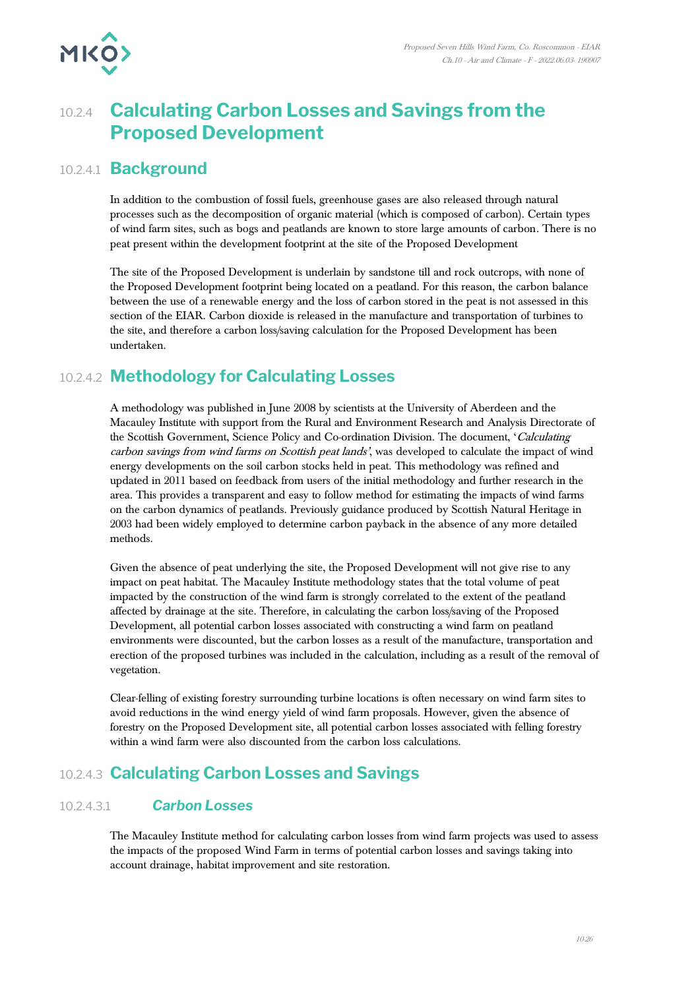

# 10.2.4 **Calculating Carbon Losses and Savings from the Proposed Development**

## 10.2.4.1 **Background**

In addition to the combustion of fossil fuels, greenhouse gases are also released through natural processes such as the decomposition of organic material (which is composed of carbon). Certain types of wind farm sites, such as bogs and peatlands are known to store large amounts of carbon. There is no peat present within the development footprint at the site of the Proposed Development

The site of the Proposed Development is underlain by sandstone till and rock outcrops, with none of the Proposed Development footprint being located on a peatland. For this reason, the carbon balance between the use of a renewable energy and the loss of carbon stored in the peat is not assessed in this section of the EIAR. Carbon dioxide is released in the manufacture and transportation of turbines to the site, and therefore a carbon loss/saving calculation for the Proposed Development has been undertaken.

# 10.2.4.2 **Methodology for Calculating Losses**

A methodology was published in June 2008 by scientists at the University of Aberdeen and the Macauley Institute with support from the Rural and Environment Research and Analysis Directorate of the Scottish Government, Science Policy and Co-ordination Division. The document, 'Calculating carbon savings from wind farms on Scottish peat lands', was developed to calculate the impact of wind energy developments on the soil carbon stocks held in peat. This methodology was refined and updated in 2011 based on feedback from users of the initial methodology and further research in the area. This provides a transparent and easy to follow method for estimating the impacts of wind farms on the carbon dynamics of peatlands. Previously guidance produced by Scottish Natural Heritage in 2003 had been widely employed to determine carbon payback in the absence of any more detailed methods.

Given the absence of peat underlying the site, the Proposed Development will not give rise to any impact on peat habitat. The Macauley Institute methodology states that the total volume of peat impacted by the construction of the wind farm is strongly correlated to the extent of the peatland affected by drainage at the site. Therefore, in calculating the carbon loss/saving of the Proposed Development, all potential carbon losses associated with constructing a wind farm on peatland environments were discounted, but the carbon losses as a result of the manufacture, transportation and erection of the proposed turbines was included in the calculation, including as a result of the removal of vegetation.

Clear-felling of existing forestry surrounding turbine locations is often necessary on wind farm sites to avoid reductions in the wind energy yield of wind farm proposals. However, given the absence of forestry on the Proposed Development site, all potential carbon losses associated with felling forestry within a wind farm were also discounted from the carbon loss calculations.

# 10.2.4.3 **Calculating Carbon Losses and Savings**

#### 10.2.4.3.1 *Carbon Losses*

The Macauley Institute method for calculating carbon losses from wind farm projects was used to assess the impacts of the proposed Wind Farm in terms of potential carbon losses and savings taking into account drainage, habitat improvement and site restoration.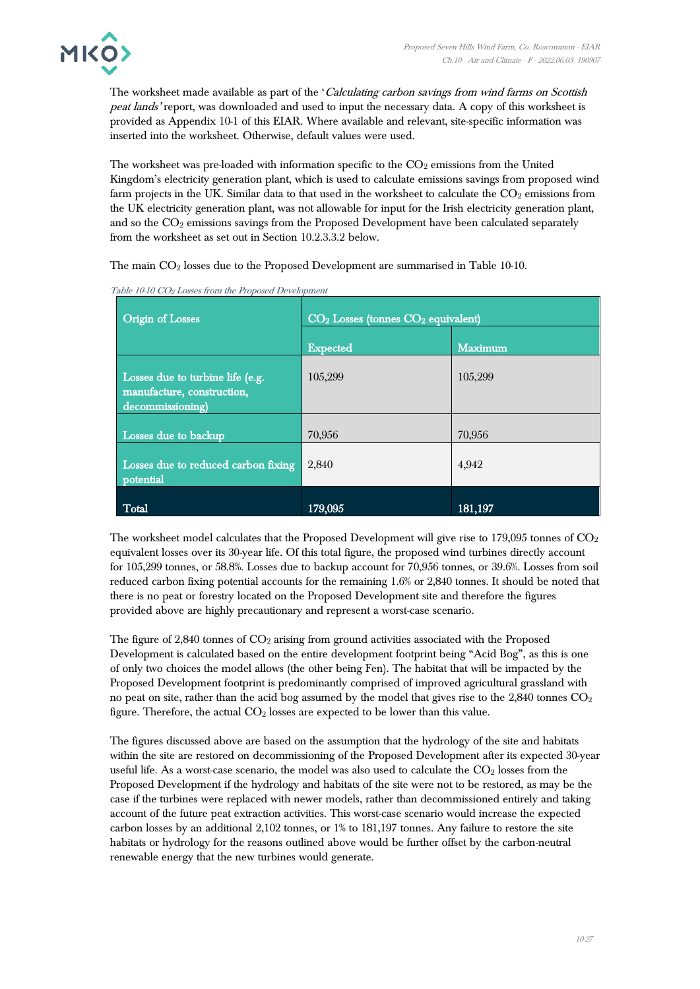

The worksheet made available as part of the 'Calculating carbon savings from wind farms on Scottish peat lands' report, was downloaded and used to input the necessary data. A copy of this worksheet is provided as Appendix 10-1 of this EIAR. Where available and relevant, site-specific information was inserted into the worksheet. Otherwise, default values were used.

The worksheet was pre-loaded with information specific to the  $CO<sub>2</sub>$  emissions from the United Kingdom's electricity generation plant, which is used to calculate emissions savings from proposed wind farm projects in the UK. Similar data to that used in the worksheet to calculate the  $CO<sub>2</sub>$  emissions from the UK electricity generation plant, was not allowable for input for the Irish electricity generation plant, and so the CO<sub>2</sub> emissions savings from the Proposed Development have been calculated separately from the worksheet as set out in Section 10.2.3.3.2 below.

The main CO<sup>2</sup> losses due to the Proposed Development are summarised in Table 10-10.

| <b>Origin of Losses</b>                                                            | $CO2$ Losses (tonnes $CO2$ equivalent) |                |  |  |  |  |  |
|------------------------------------------------------------------------------------|----------------------------------------|----------------|--|--|--|--|--|
|                                                                                    | <b>Expected</b>                        | <b>Maximum</b> |  |  |  |  |  |
| Losses due to turbine life (e.g.<br>manufacture, construction,<br>decommissioning) | 105,299                                | 105,299        |  |  |  |  |  |
| Losses due to backup                                                               | 70,956                                 | 70,956         |  |  |  |  |  |
| Losses due to reduced carbon fixing<br>potential                                   | 2,840                                  | 4,942          |  |  |  |  |  |
| Total                                                                              | 179,095                                | 181,197        |  |  |  |  |  |

Table 10-10 CO<sup>2</sup> Losses from the Proposed Development

The worksheet model calculates that the Proposed Development will give rise to 179,095 tonnes of  $CO<sub>2</sub>$ equivalent losses over its 30-year life. Of this total figure, the proposed wind turbines directly account for 105,299 tonnes, or 58.8%. Losses due to backup account for 70,956 tonnes, or 39.6%. Losses from soil reduced carbon fixing potential accounts for the remaining 1.6% or 2,840 tonnes. It should be noted that there is no peat or forestry located on the Proposed Development site and therefore the figures provided above are highly precautionary and represent a worst-case scenario.

The figure of  $2,840$  tonnes of  $CO<sub>2</sub>$  arising from ground activities associated with the Proposed Development is calculated based on the entire development footprint being "Acid Bog", as this is one of only two choices the model allows (the other being Fen). The habitat that will be impacted by the Proposed Development footprint is predominantly comprised of improved agricultural grassland with no peat on site, rather than the acid bog assumed by the model that gives rise to the  $2,840$  tonnes  $CO<sub>2</sub>$ figure. Therefore, the actual  $CO<sub>2</sub>$  losses are expected to be lower than this value.

The figures discussed above are based on the assumption that the hydrology of the site and habitats within the site are restored on decommissioning of the Proposed Development after its expected 30-year useful life. As a worst-case scenario, the model was also used to calculate the  $CO<sub>2</sub>$  losses from the Proposed Development if the hydrology and habitats of the site were not to be restored, as may be the case if the turbines were replaced with newer models, rather than decommissioned entirely and taking account of the future peat extraction activities. This worst-case scenario would increase the expected carbon losses by an additional 2,102 tonnes, or 1% to 181,197 tonnes. Any failure to restore the site habitats or hydrology for the reasons outlined above would be further offset by the carbon-neutral renewable energy that the new turbines would generate.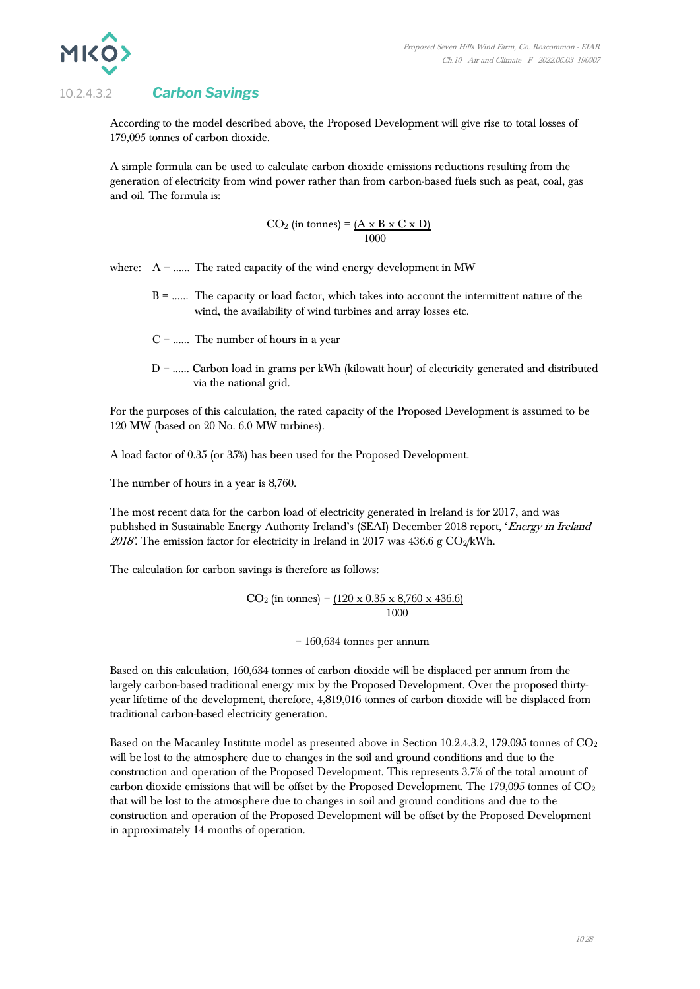

### 10.2.4.3.2 *Carbon Savings*

According to the model described above, the Proposed Development will give rise to total losses of 179,095 tonnes of carbon dioxide.

A simple formula can be used to calculate carbon dioxide emissions reductions resulting from the generation of electricity from wind power rather than from carbon-based fuels such as peat, coal, gas and oil. The formula is:

$$
CO2 (in tonnes) = (A x B x C x D)1000
$$

where:  $A =$  ....... The rated capacity of the wind energy development in MW

- B = …… The capacity or load factor, which takes into account the intermittent nature of the wind, the availability of wind turbines and array losses etc.
- $C =$  ...... The number of hours in a year
- $D =$ ...... Carbon load in grams per kWh (kilowatt hour) of electricity generated and distributed via the national grid.

For the purposes of this calculation, the rated capacity of the Proposed Development is assumed to be 120 MW (based on 20 No. 6.0 MW turbines).

A load factor of 0.35 (or 35%) has been used for the Proposed Development.

The number of hours in a year is 8,760.

The most recent data for the carbon load of electricity generated in Ireland is for 2017, and was published in Sustainable Energy Authority Ireland's (SEAI) December 2018 report, 'Energy in Ireland 2018'. The emission factor for electricity in Ireland in 2017 was 436.6 g  $CO_2/kWh$ .

The calculation for carbon savings is therefore as follows:

$$
CO_2
$$
 (in tonnes) =  $\underline{(120 \times 0.35 \times 8,760 \times 436.6)}$   
1000

 $= 160,634$  tonnes per annum

Based on this calculation, 160,634 tonnes of carbon dioxide will be displaced per annum from the largely carbon-based traditional energy mix by the Proposed Development. Over the proposed thirtyyear lifetime of the development, therefore, 4,819,016 tonnes of carbon dioxide will be displaced from traditional carbon-based electricity generation.

Based on the Macauley Institute model as presented above in Section 10.2.4.3.2, 179,095 tonnes of  $CO<sub>2</sub>$ will be lost to the atmosphere due to changes in the soil and ground conditions and due to the construction and operation of the Proposed Development. This represents 3.7% of the total amount of carbon dioxide emissions that will be offset by the Proposed Development. The  $179,095$  tonnes of  $CO<sub>2</sub>$ that will be lost to the atmosphere due to changes in soil and ground conditions and due to the construction and operation of the Proposed Development will be offset by the Proposed Development in approximately 14 months of operation.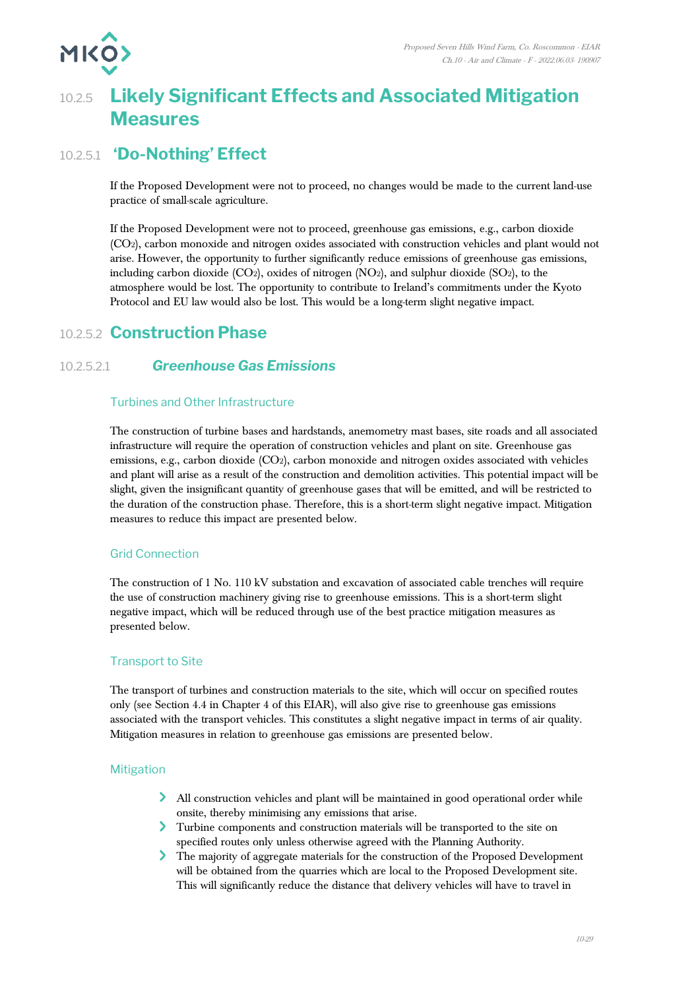

# 10.2.5 **Likely Significant Effects and Associated Mitigation Measures**

# 10.2.5.1 **'Do-Nothing' Effect**

If the Proposed Development were not to proceed, no changes would be made to the current land-use practice of small-scale agriculture.

If the Proposed Development were not to proceed, greenhouse gas emissions, e.g., carbon dioxide (CO2), carbon monoxide and nitrogen oxides associated with construction vehicles and plant would not arise. However, the opportunity to further significantly reduce emissions of greenhouse gas emissions, including carbon dioxide  $(CO<sub>2</sub>)$ , oxides of nitrogen  $(NO<sub>2</sub>)$ , and sulphur dioxide  $(SO<sub>2</sub>)$ , to the atmosphere would be lost. The opportunity to contribute to Ireland's commitments under the Kyoto Protocol and EU law would also be lost. This would be a long-term slight negative impact.

## 10.2.5.2 **Construction Phase**

#### 10.2.5.2.1 *Greenhouse Gas Emissions*

#### Turbines and Other Infrastructure

The construction of turbine bases and hardstands, anemometry mast bases, site roads and all associated infrastructure will require the operation of construction vehicles and plant on site. Greenhouse gas emissions, e.g., carbon dioxide (CO2), carbon monoxide and nitrogen oxides associated with vehicles and plant will arise as a result of the construction and demolition activities. This potential impact will be slight, given the insignificant quantity of greenhouse gases that will be emitted, and will be restricted to the duration of the construction phase. Therefore, this is a short-term slight negative impact. Mitigation measures to reduce this impact are presented below.

#### Grid Connection

The construction of 1 No. 110 kV substation and excavation of associated cable trenches will require the use of construction machinery giving rise to greenhouse emissions. This is a short-term slight negative impact, which will be reduced through use of the best practice mitigation measures as presented below.

#### Transport to Site

The transport of turbines and construction materials to the site, which will occur on specified routes only (see Section 4.4 in Chapter 4 of this EIAR), will also give rise to greenhouse gas emissions associated with the transport vehicles. This constitutes a slight negative impact in terms of air quality. Mitigation measures in relation to greenhouse gas emissions are presented below.

#### Mitigation

- All construction vehicles and plant will be maintained in good operational order while onsite, thereby minimising any emissions that arise.
- Turbine components and construction materials will be transported to the site on specified routes only unless otherwise agreed with the Planning Authority.
- The majority of aggregate materials for the construction of the Proposed Development will be obtained from the quarries which are local to the Proposed Development site. This will significantly reduce the distance that delivery vehicles will have to travel in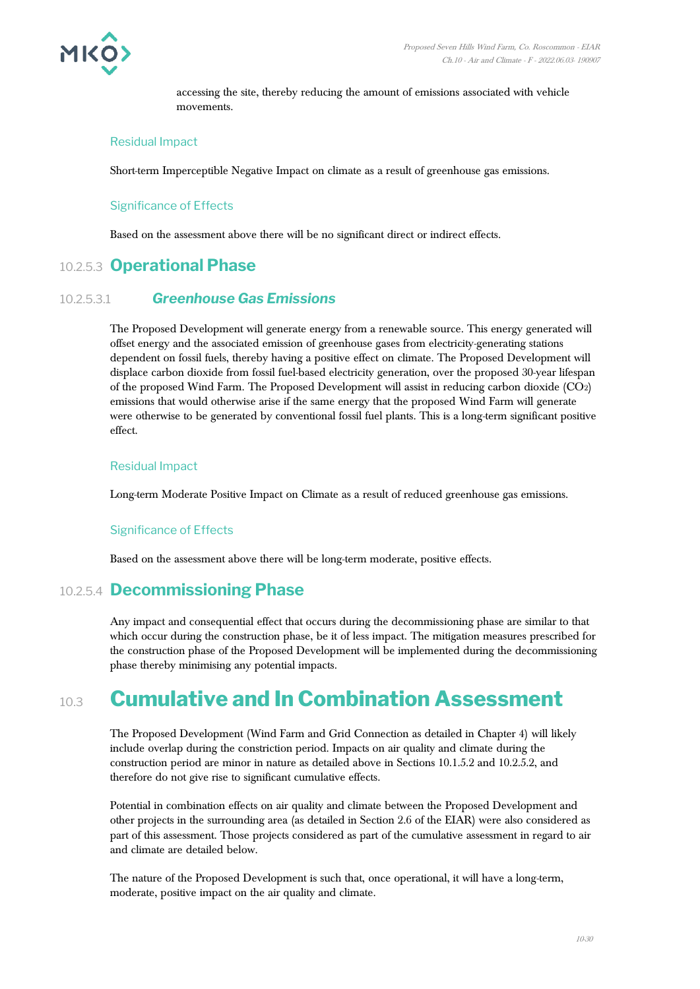

accessing the site, thereby reducing the amount of emissions associated with vehicle movements.

#### Residual Impact

Short-term Imperceptible Negative Impact on climate as a result of greenhouse gas emissions.

#### Significance of Effects

Based on the assessment above there will be no significant direct or indirect effects.

## 10.2.5.3 **Operational Phase**

#### 10.2.5.3.1 *Greenhouse Gas Emissions*

The Proposed Development will generate energy from a renewable source. This energy generated will offset energy and the associated emission of greenhouse gases from electricity-generating stations dependent on fossil fuels, thereby having a positive effect on climate. The Proposed Development will displace carbon dioxide from fossil fuel-based electricity generation, over the proposed 30-year lifespan of the proposed Wind Farm. The Proposed Development will assist in reducing carbon dioxide (CO2) emissions that would otherwise arise if the same energy that the proposed Wind Farm will generate were otherwise to be generated by conventional fossil fuel plants. This is a long-term significant positive effect.

#### Residual Impact

Long-term Moderate Positive Impact on Climate as a result of reduced greenhouse gas emissions.

#### Significance of Effects

Based on the assessment above there will be long-term moderate, positive effects.

## 10.2.5.4 **Decommissioning Phase**

Any impact and consequential effect that occurs during the decommissioning phase are similar to that which occur during the construction phase, be it of less impact. The mitigation measures prescribed for the construction phase of the Proposed Development will be implemented during the decommissioning phase thereby minimising any potential impacts.

# 10.3 **Cumulative and In Combination Assessment**

The Proposed Development (Wind Farm and Grid Connection as detailed in Chapter 4) will likely include overlap during the constriction period. Impacts on air quality and climate during the construction period are minor in nature as detailed above in Sections 10.1.5.2 and 10.2.5.2, and therefore do not give rise to significant cumulative effects.

Potential in combination effects on air quality and climate between the Proposed Development and other projects in the surrounding area (as detailed in Section 2.6 of the EIAR) were also considered as part of this assessment. Those projects considered as part of the cumulative assessment in regard to air and climate are detailed below.

The nature of the Proposed Development is such that, once operational, it will have a long-term, moderate, positive impact on the air quality and climate.